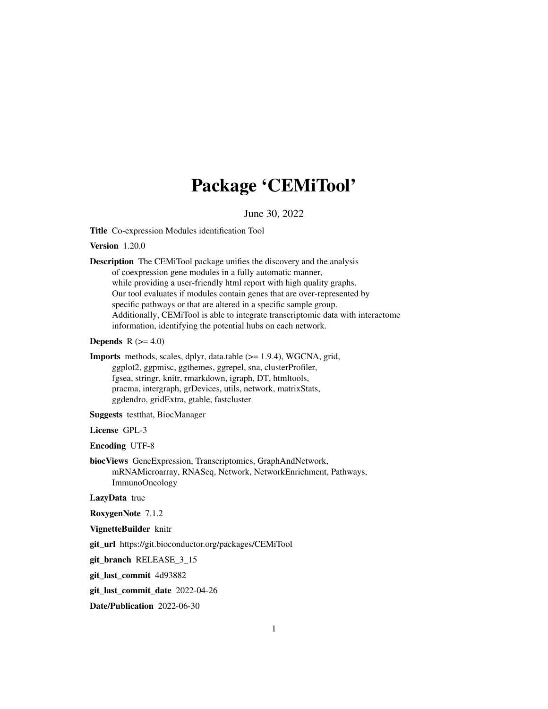# Package 'CEMiTool'

# June 30, 2022

Title Co-expression Modules identification Tool

#### Version 1.20.0

Description The CEMiTool package unifies the discovery and the analysis of coexpression gene modules in a fully automatic manner, while providing a user-friendly html report with high quality graphs. Our tool evaluates if modules contain genes that are over-represented by specific pathways or that are altered in a specific sample group. Additionally, CEMiTool is able to integrate transcriptomic data with interactome information, identifying the potential hubs on each network.

# **Depends**  $R$  ( $>= 4.0$ )

Imports methods, scales, dplyr, data.table (>= 1.9.4), WGCNA, grid, ggplot2, ggpmisc, ggthemes, ggrepel, sna, clusterProfiler, fgsea, stringr, knitr, rmarkdown, igraph, DT, htmltools, pracma, intergraph, grDevices, utils, network, matrixStats, ggdendro, gridExtra, gtable, fastcluster

Suggests testthat, BiocManager

License GPL-3

Encoding UTF-8

biocViews GeneExpression, Transcriptomics, GraphAndNetwork, mRNAMicroarray, RNASeq, Network, NetworkEnrichment, Pathways, ImmunoOncology

LazyData true

RoxygenNote 7.1.2

VignetteBuilder knitr

git\_url https://git.bioconductor.org/packages/CEMiTool

git\_branch RELEASE\_3\_15

git\_last\_commit 4d93882

git\_last\_commit\_date 2022-04-26

Date/Publication 2022-06-30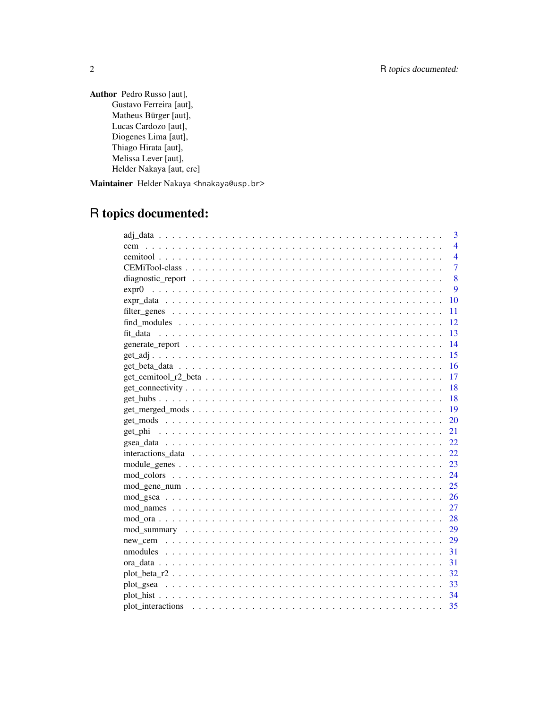Author Pedro Russo [aut], Gustavo Ferreira [aut], Matheus Bürger [aut], Lucas Cardozo [aut], Diogenes Lima [aut], Thiago Hirata [aut], Melissa Lever [aut], Helder Nakaya [aut, cre]

Maintainer Helder Nakaya <hnakaya@usp.br>

# R topics documented:

| 3                                                                                                                 |
|-------------------------------------------------------------------------------------------------------------------|
| $\overline{4}$<br>cem                                                                                             |
| $\overline{4}$                                                                                                    |
| $\overline{7}$                                                                                                    |
| 8                                                                                                                 |
| 9                                                                                                                 |
| 10                                                                                                                |
| 11                                                                                                                |
| 12                                                                                                                |
| 13                                                                                                                |
| 14                                                                                                                |
| 15                                                                                                                |
| 16                                                                                                                |
| 17<br>$get\_cemitool_r2_beta \dots \dots \dots \dots \dots \dots \dots \dots \dots \dots \dots \dots \dots \dots$ |
| 18                                                                                                                |
| 18                                                                                                                |
| 19                                                                                                                |
| 20                                                                                                                |
| 21                                                                                                                |
| 22                                                                                                                |
| 22.                                                                                                               |
| 23                                                                                                                |
| 24                                                                                                                |
| 25                                                                                                                |
| 26                                                                                                                |
| 27                                                                                                                |
| 28                                                                                                                |
| 29                                                                                                                |
| 29                                                                                                                |
| 31                                                                                                                |
| 31                                                                                                                |
| 32                                                                                                                |
| 33                                                                                                                |
| 34                                                                                                                |
| 35                                                                                                                |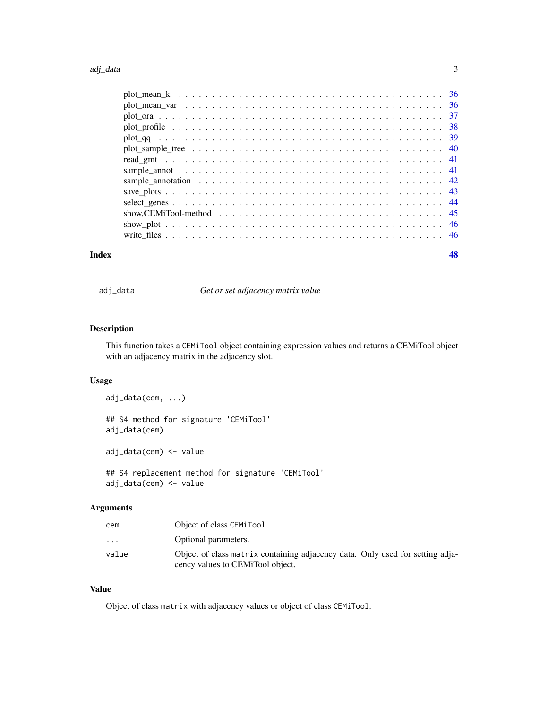#### <span id="page-2-0"></span>adj\_data 3

| Index |  |  |  |  |  |  |  |  |  |  |  |  |  |  |  | 48 |
|-------|--|--|--|--|--|--|--|--|--|--|--|--|--|--|--|----|

adj\_data *Get or set adjacency matrix value*

# Description

This function takes a CEMiTool object containing expression values and returns a CEMiTool object with an adjacency matrix in the adjacency slot.

# Usage

```
adj_data(cem, ...)
## S4 method for signature 'CEMiTool'
adj_data(cem)
adj_data(cem) <- value
## S4 replacement method for signature 'CEMiTool'
adj_data(cem) <- value
```
#### Arguments

| cem                     | Object of class CEMiTool                                                      |
|-------------------------|-------------------------------------------------------------------------------|
| $\cdot$ $\cdot$ $\cdot$ | Optional parameters.                                                          |
| value                   | Object of class matrix containing adjacency data. Only used for setting adja- |
|                         | cency values to CEMiTool object.                                              |

## Value

Object of class matrix with adjacency values or object of class CEMiTool.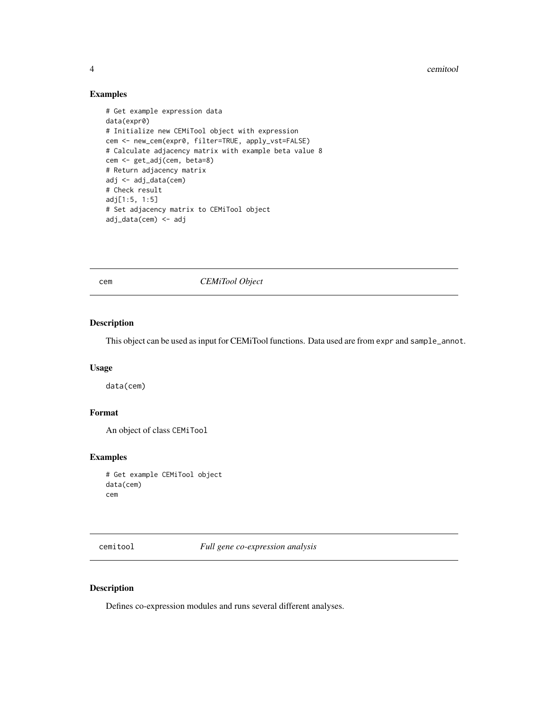4 cemitool

# Examples

```
# Get example expression data
data(expr0)
# Initialize new CEMiTool object with expression
cem <- new_cem(expr0, filter=TRUE, apply_vst=FALSE)
# Calculate adjacency matrix with example beta value 8
cem <- get_adj(cem, beta=8)
# Return adjacency matrix
adj <- adj_data(cem)
# Check result
adj[1:5, 1:5]
# Set adjacency matrix to CEMiTool object
adj_data(cem) <- adj
```
cem *CEMiTool Object*

#### Description

This object can be used as input for CEMiTool functions. Data used are from expr and sample\_annot.

## Usage

data(cem)

# Format

An object of class CEMiTool

# Examples

```
# Get example CEMiTool object
data(cem)
cem
```
cemitool *Full gene co-expression analysis*

#### Description

Defines co-expression modules and runs several different analyses.

<span id="page-3-0"></span>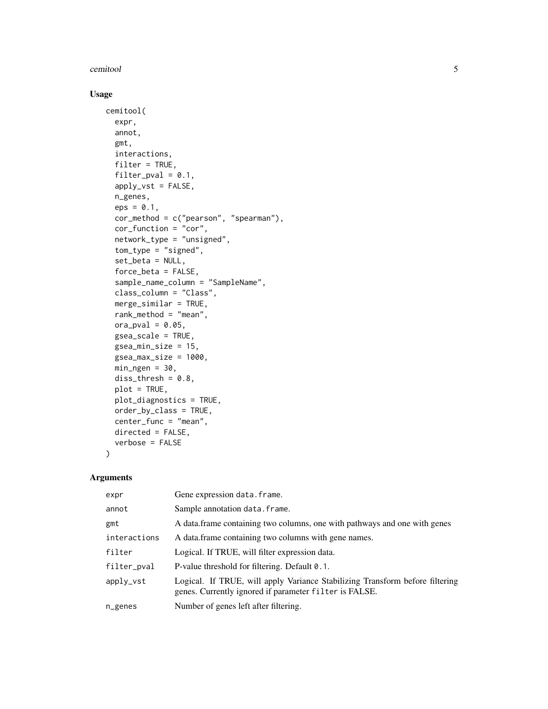#### cemitool 5

# Usage

```
cemitool(
  expr,
  annot,
  gmt,
  interactions,
  filter = TRUE,
  filter\_pval = 0.1,
  apply_vst = FALSE,
  n_genes,
  eps = 0.1,
  cor_method = c("pearson", "spearman"),
  cor_function = "cor",
  network_type = "unsigned",
  tom_type = "signed",
  set_beta = NULL,
  force_beta = FALSE,
  sample_name_column = "SampleName",
  class_column = "Class",
 merge_similar = TRUE,
  rank_method = "mean",
  ora_pval = 0.05,
  gsea_scale = TRUE,
  gsea_min_size = 15,
  gsea_max_size = 1000,
 min\_ngen = 30,diss_{thresh} = 0.8,
 plot = TRUE,
 plot_diagnostics = TRUE,
 order_by_class = TRUE,
  center_func = "mean",
  directed = FALSE,
  verbose = FALSE
```
#### Arguments

)

| expr         | Gene expression data.frame.                                                                                                            |
|--------------|----------------------------------------------------------------------------------------------------------------------------------------|
| annot        | Sample annotation data. frame.                                                                                                         |
| gmt          | A data. frame containing two columns, one with pathways and one with genes                                                             |
| interactions | A data frame containing two columns with gene names.                                                                                   |
| filter       | Logical. If TRUE, will filter expression data.                                                                                         |
| filter_pval  | P-value threshold for filtering. Default 0.1.                                                                                          |
| apply_vst    | Logical. If TRUE, will apply Variance Stabilizing Transform before filtering<br>genes. Currently ignored if parameter filter is FALSE. |
| $n$ genes    | Number of genes left after filtering.                                                                                                  |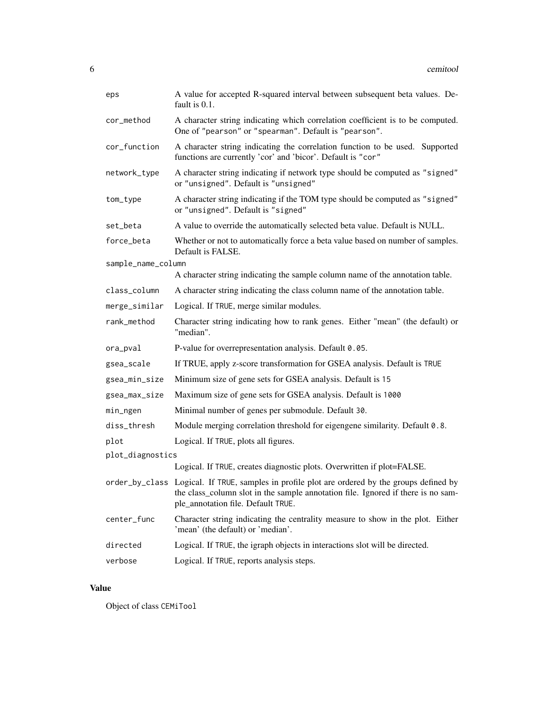| eps                | A value for accepted R-squared interval between subsequent beta values. De-<br>fault is 0.1.                                                                                                                            |
|--------------------|-------------------------------------------------------------------------------------------------------------------------------------------------------------------------------------------------------------------------|
| cor_method         | A character string indicating which correlation coefficient is to be computed.<br>One of "pearson" or "spearman". Default is "pearson".                                                                                 |
| cor_function       | A character string indicating the correlation function to be used. Supported<br>functions are currently 'cor' and 'bicor'. Default is "cor"                                                                             |
| network_type       | A character string indicating if network type should be computed as "signed"<br>or "unsigned". Default is "unsigned"                                                                                                    |
| tom_type           | A character string indicating if the TOM type should be computed as "signed"<br>or "unsigned". Default is "signed"                                                                                                      |
| set_beta           | A value to override the automatically selected beta value. Default is NULL.                                                                                                                                             |
| force_beta         | Whether or not to automatically force a beta value based on number of samples.<br>Default is FALSE.                                                                                                                     |
| sample_name_column |                                                                                                                                                                                                                         |
|                    | A character string indicating the sample column name of the annotation table.                                                                                                                                           |
| class_column       | A character string indicating the class column name of the annotation table.                                                                                                                                            |
| merge_similar      | Logical. If TRUE, merge similar modules.                                                                                                                                                                                |
| rank_method        | Character string indicating how to rank genes. Either "mean" (the default) or<br>"median".                                                                                                                              |
| ora_pval           | P-value for overrepresentation analysis. Default 0.05.                                                                                                                                                                  |
| gsea_scale         | If TRUE, apply z-score transformation for GSEA analysis. Default is TRUE                                                                                                                                                |
| gsea_min_size      | Minimum size of gene sets for GSEA analysis. Default is 15                                                                                                                                                              |
| gsea_max_size      | Maximum size of gene sets for GSEA analysis. Default is 1000                                                                                                                                                            |
| min_ngen           | Minimal number of genes per submodule. Default 30.                                                                                                                                                                      |
| diss_thresh        | Module merging correlation threshold for eigengene similarity. Default 0.8.                                                                                                                                             |
| plot               | Logical. If TRUE, plots all figures.                                                                                                                                                                                    |
| plot_diagnostics   |                                                                                                                                                                                                                         |
|                    | Logical. If TRUE, creates diagnostic plots. Overwritten if plot=FALSE.                                                                                                                                                  |
|                    | order_by_class Logical. If TRUE, samples in profile plot are ordered by the groups defined by<br>the class_column slot in the sample annotation file. Ignored if there is no sam-<br>ple_annotation file. Default TRUE. |
| center_func        | Character string indicating the centrality measure to show in the plot. Either<br>'mean' (the default) or 'median'.                                                                                                     |
| directed           | Logical. If TRUE, the igraph objects in interactions slot will be directed.                                                                                                                                             |
| verbose            | Logical. If TRUE, reports analysis steps.                                                                                                                                                                               |

# Value

Object of class CEMiTool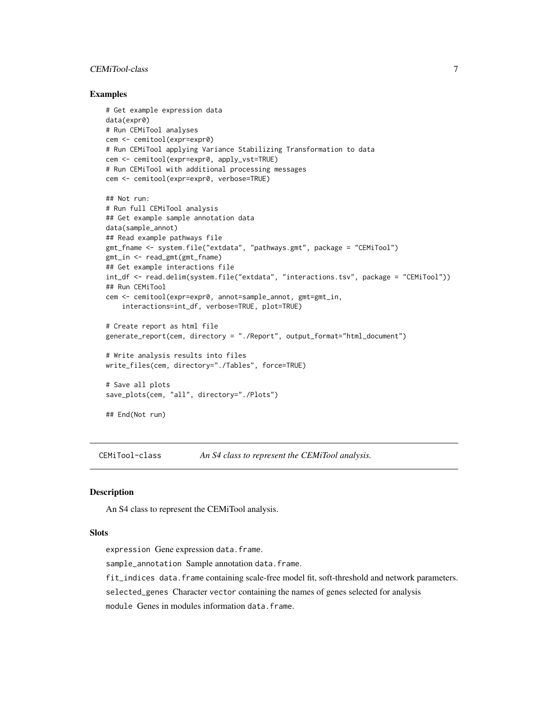# <span id="page-6-0"></span>CEMiTool-class 7

#### Examples

```
# Get example expression data
data(expr0)
# Run CEMiTool analyses
cem <- cemitool(expr=expr0)
# Run CEMiTool applying Variance Stabilizing Transformation to data
cem <- cemitool(expr=expr0, apply_vst=TRUE)
# Run CEMiTool with additional processing messages
cem <- cemitool(expr=expr0, verbose=TRUE)
## Not run:
# Run full CEMiTool analysis
## Get example sample annotation data
data(sample_annot)
## Read example pathways file
gmt_fname <- system.file("extdata", "pathways.gmt", package = "CEMiTool")
gmt_in <- read_gmt(gmt_fname)
## Get example interactions file
int_df <- read.delim(system.file("extdata", "interactions.tsv", package = "CEMiTool"))
## Run CEMiTool
cem <- cemitool(expr=expr0, annot=sample_annot, gmt=gmt_in,
    interactions=int_df, verbose=TRUE, plot=TRUE)
# Create report as html file
generate_report(cem, directory = "./Report", output_format="html_document")
# Write analysis results into files
write_files(cem, directory="./Tables", force=TRUE)
# Save all plots
save_plots(cem, "all", directory="./Plots")
## End(Not run)
```
CEMiTool-class *An S4 class to represent the CEMiTool analysis.*

#### Description

An S4 class to represent the CEMiTool analysis.

#### **Slots**

expression Gene expression data.frame.

sample\_annotation Sample annotation data.frame.

fit\_indices data.frame containing scale-free model fit, soft-threshold and network parameters.

selected\_genes Character vector containing the names of genes selected for analysis

module Genes in modules information data.frame.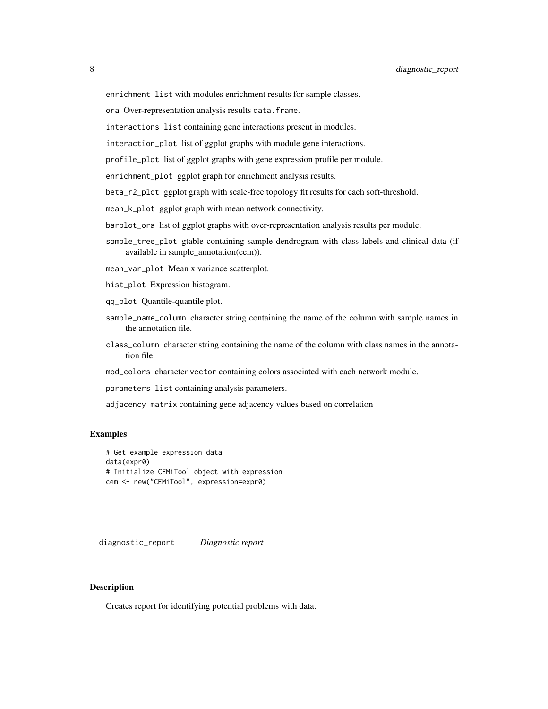<span id="page-7-0"></span>enrichment list with modules enrichment results for sample classes.

ora Over-representation analysis results data.frame.

interactions list containing gene interactions present in modules.

interaction\_plot list of ggplot graphs with module gene interactions.

profile\_plot list of ggplot graphs with gene expression profile per module.

enrichment\_plot ggplot graph for enrichment analysis results.

beta\_r2\_plot ggplot graph with scale-free topology fit results for each soft-threshold.

mean\_k\_plot ggplot graph with mean network connectivity.

barplot\_ora list of ggplot graphs with over-representation analysis results per module.

sample\_tree\_plot gtable containing sample dendrogram with class labels and clinical data (if available in sample\_annotation(cem)).

mean\_var\_plot Mean x variance scatterplot.

hist\_plot Expression histogram.

- qq\_plot Quantile-quantile plot.
- sample\_name\_column character string containing the name of the column with sample names in the annotation file.
- class\_column character string containing the name of the column with class names in the annotation file.

mod\_colors character vector containing colors associated with each network module.

parameters list containing analysis parameters.

adjacency matrix containing gene adjacency values based on correlation

#### Examples

```
# Get example expression data
data(expr0)
# Initialize CEMiTool object with expression
cem <- new("CEMiTool", expression=expr0)
```
diagnostic\_report *Diagnostic report*

#### Description

Creates report for identifying potential problems with data.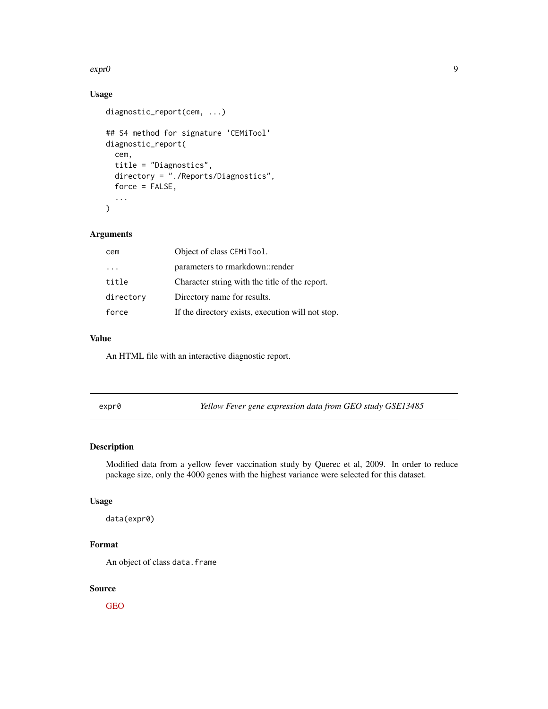#### <span id="page-8-0"></span>expr0 9

# Usage

```
diagnostic_report(cem, ...)
## S4 method for signature 'CEMiTool'
diagnostic_report(
 cem,
  title = "Diagnostics",
 directory = "./Reports/Diagnostics",
 force = FALSE,
  ...
\mathcal{L}
```
#### Arguments

| cem       | Object of class CEMiTool.                         |
|-----------|---------------------------------------------------|
| .         | parameters to rmarkdown::render                   |
| title     | Character string with the title of the report.    |
| directory | Directory name for results.                       |
| force     | If the directory exists, execution will not stop. |

#### Value

An HTML file with an interactive diagnostic report.

| expr | и |
|------|---|
|------|---|

expr0 *Yellow Fever gene expression data from GEO study GSE13485*

#### Description

Modified data from a yellow fever vaccination study by Querec et al, 2009. In order to reduce package size, only the 4000 genes with the highest variance were selected for this dataset.

# Usage

data(expr0)

## Format

An object of class data.frame

## Source

[GEO](https://www.ncbi.nlm.nih.gov/geo/query/acc.cgi?acc=gse13485)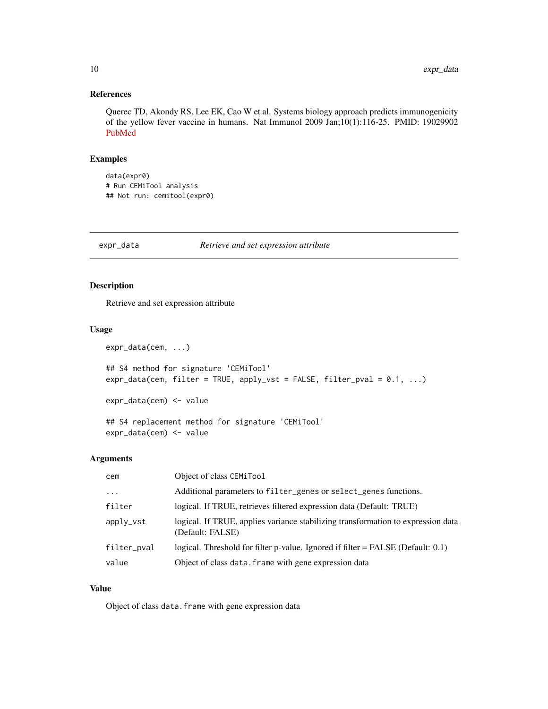# <span id="page-9-0"></span>References

Querec TD, Akondy RS, Lee EK, Cao W et al. Systems biology approach predicts immunogenicity of the yellow fever vaccine in humans. Nat Immunol 2009 Jan;10(1):116-25. PMID: 19029902 [PubMed](https://www.ncbi.nlm.nih.gov/pubmed/19029902)

#### Examples

```
data(expr0)
# Run CEMiTool analysis
## Not run: cemitool(expr0)
```
#### expr\_data *Retrieve and set expression attribute*

# Description

Retrieve and set expression attribute

#### Usage

```
expr_data(cem, ...)
## S4 method for signature 'CEMiTool'
expr_data(cem, filter = TRUE, apply_vst = FALSE, filter_pval = 0.1, ...)expr_data(cem) <- value
## S4 replacement method for signature 'CEMiTool'
```
expr\_data(cem) <- value

#### Arguments

| cem         | Object of class CEMiTool                                                                             |
|-------------|------------------------------------------------------------------------------------------------------|
| $\ddotsc$   | Additional parameters to filter_genes or select_genes functions.                                     |
| filter      | logical. If TRUE, retrieves filtered expression data (Default: TRUE)                                 |
| apply_vst   | logical. If TRUE, applies variance stabilizing transformation to expression data<br>(Default: FALSE) |
| filter_pval | logical. Threshold for filter p-value. Ignored if filter = FALSE (Default: 0.1)                      |
| value       | Object of class data. frame with gene expression data                                                |

#### Value

Object of class data.frame with gene expression data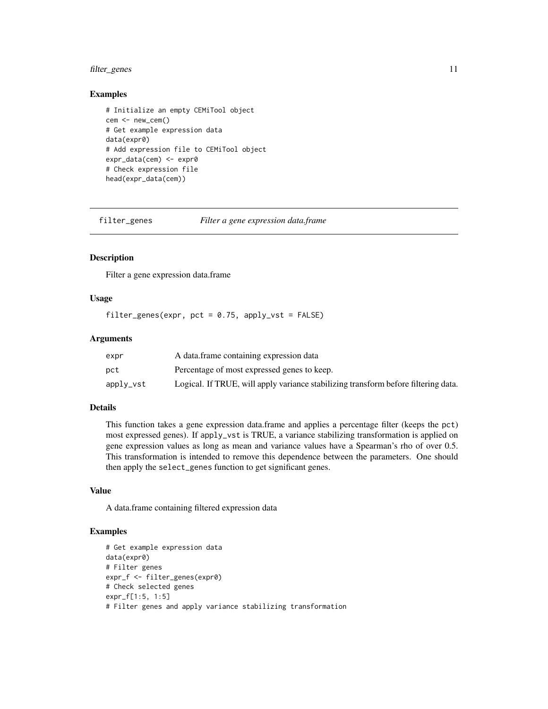# <span id="page-10-0"></span>filter\_genes 11

#### Examples

```
# Initialize an empty CEMiTool object
cem <- new_cem()
# Get example expression data
data(expr0)
# Add expression file to CEMiTool object
expr_data(cem) <- expr0
# Check expression file
head(expr_data(cem))
```
filter\_genes *Filter a gene expression data.frame*

#### Description

Filter a gene expression data.frame

# Usage

filter\_genes(expr, pct =  $0.75$ , apply\_vst = FALSE)

#### Arguments

| expr      | A data frame containing expression data                                            |
|-----------|------------------------------------------------------------------------------------|
| pct       | Percentage of most expressed genes to keep.                                        |
| apply_vst | Logical. If TRUE, will apply variance stabilizing transform before filtering data. |

#### Details

This function takes a gene expression data.frame and applies a percentage filter (keeps the pct) most expressed genes). If apply\_vst is TRUE, a variance stabilizing transformation is applied on gene expression values as long as mean and variance values have a Spearman's rho of over 0.5. This transformation is intended to remove this dependence between the parameters. One should then apply the select\_genes function to get significant genes.

#### Value

A data.frame containing filtered expression data

```
# Get example expression data
data(expr0)
# Filter genes
expr_f <- filter_genes(expr0)
# Check selected genes
expr_f[1:5, 1:5]
# Filter genes and apply variance stabilizing transformation
```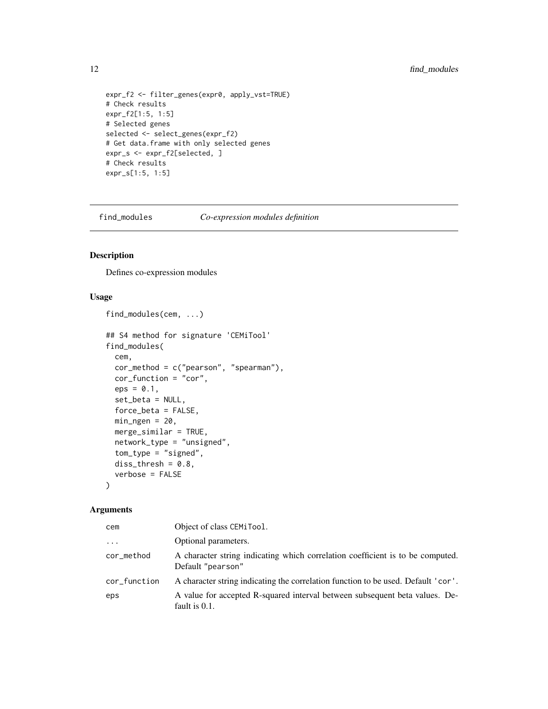# <span id="page-11-0"></span>12 find\_modules

```
expr_f2 <- filter_genes(expr0, apply_vst=TRUE)
# Check results
expr_f2[1:5, 1:5]
# Selected genes
selected <- select_genes(expr_f2)
# Get data.frame with only selected genes
expr_s <- expr_f2[selected, ]
# Check results
expr_s[1:5, 1:5]
```
find\_modules *Co-expression modules definition*

# Description

Defines co-expression modules

#### Usage

```
find_modules(cem, ...)
```

```
## S4 method for signature 'CEMiTool'
find_modules(
  cem,
  cor_method = c("pearson", "spearman"),
  cor_function = "cor",
  eps = 0.1,
  set_beta = NULL,
  force_beta = FALSE,
 min\_ngen = 20,
 merge_similar = TRUE,
  network_type = "unsigned",
  tom_type = "signed",
  diss_{thresh} = 0.8,
  verbose = FALSE
```
#### $\mathcal{L}$

#### Arguments

| cem          | Object of class CEMiTool.                                                                           |
|--------------|-----------------------------------------------------------------------------------------------------|
| $\cdots$     | Optional parameters.                                                                                |
| cor_method   | A character string indicating which correlation coefficient is to be computed.<br>Default "pearson" |
| cor_function | A character string indicating the correlation function to be used. Default 'cor'.                   |
| eps          | A value for accepted R-squared interval between subsequent beta values. De-<br>fault is 0.1.        |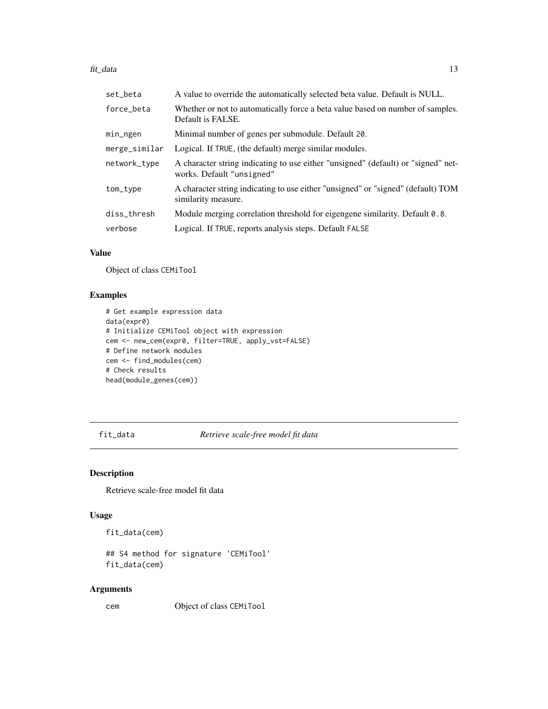#### <span id="page-12-0"></span>fit\_data 13

| set_beta      | A value to override the automatically selected beta value. Default is NULL.                                    |
|---------------|----------------------------------------------------------------------------------------------------------------|
| force beta    | Whether or not to automatically force a beta value based on number of samples.<br>Default is FALSE.            |
| min_ngen      | Minimal number of genes per submodule. Default 20.                                                             |
| merge_similar | Logical. If TRUE, (the default) merge similar modules.                                                         |
| network_type  | A character string indicating to use either "unsigned" (default) or "signed" net-<br>works. Default "unsigned" |
| tom_type      | A character string indicating to use either "unsigned" or "signed" (default) TOM<br>similarity measure.        |
| diss_thresh   | Module merging correlation threshold for eigengene similarity. Default 0.8.                                    |
| verbose       | Logical. If TRUE, reports analysis steps. Default FALSE                                                        |

# Value

Object of class CEMiTool

# Examples

```
# Get example expression data
data(expr0)
# Initialize CEMiTool object with expression
cem <- new_cem(expr0, filter=TRUE, apply_vst=FALSE)
# Define network modules
cem <- find_modules(cem)
# Check results
head(module_genes(cem))
```
fit\_data *Retrieve scale-free model fit data*

# Description

Retrieve scale-free model fit data

#### Usage

fit\_data(cem)

## S4 method for signature 'CEMiTool' fit\_data(cem)

# Arguments

cem Object of class CEMiTool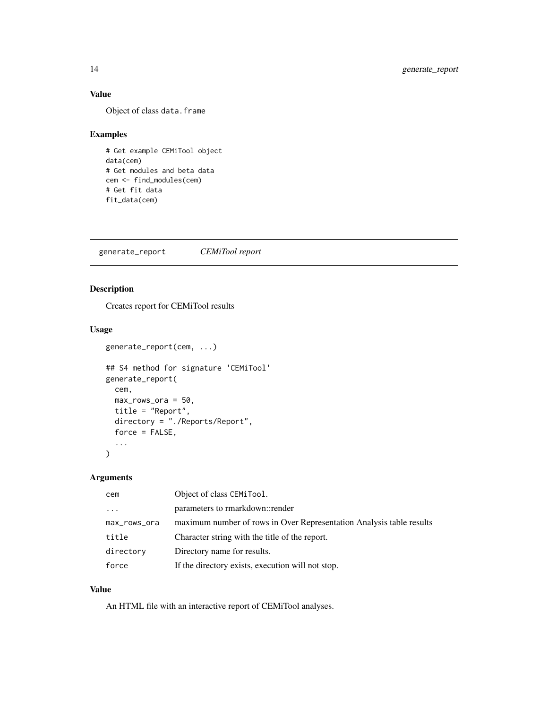# Value

Object of class data.frame

# Examples

```
# Get example CEMiTool object
data(cem)
# Get modules and beta data
cem <- find_modules(cem)
# Get fit data
fit_data(cem)
```
generate\_report *CEMiTool report*

# Description

Creates report for CEMiTool results

generate\_report(cem, ...)

# Usage

```
## S4 method for signature 'CEMiTool'
generate_report(
 cem,
 max_rows_ora = 50,
 title = "Report",
 directory = "./Reports/Report",
  force = FALSE,...
\mathcal{L}
```
# Arguments

| cem          | Object of class CEMiTool.                                            |
|--------------|----------------------------------------------------------------------|
| $\cdots$     | parameters to rmarkdown::render                                      |
| max_rows_ora | maximum number of rows in Over Representation Analysis table results |
| title        | Character string with the title of the report.                       |
| directory    | Directory name for results.                                          |
| force        | If the directory exists, execution will not stop.                    |

#### Value

An HTML file with an interactive report of CEMiTool analyses.

<span id="page-13-0"></span>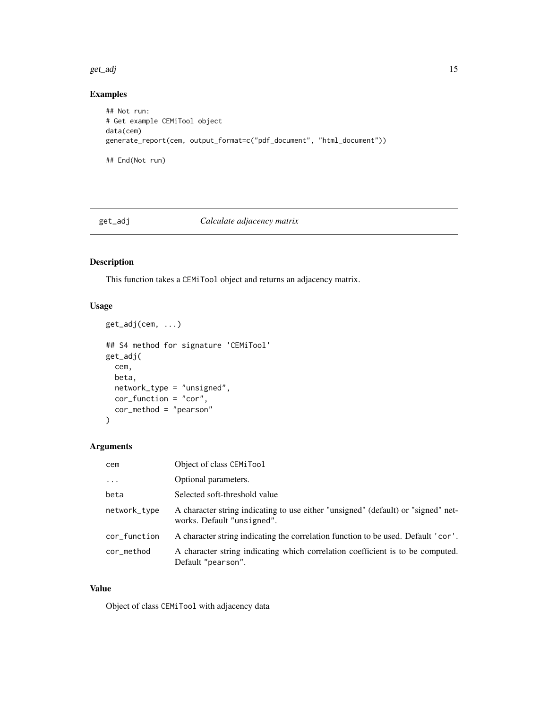<span id="page-14-0"></span>get\_adj 15

# Examples

```
## Not run:
# Get example CEMiTool object
data(cem)
generate_report(cem, output_format=c("pdf_document", "html_document"))
## End(Not run)
```
# get\_adj *Calculate adjacency matrix*

# Description

This function takes a CEMiTool object and returns an adjacency matrix.

# Usage

```
get_adj(cem, ...)
## S4 method for signature 'CEMiTool'
get_adj(
 cem,
 beta,
 network_type = "unsigned",
 cor_function = "cor",
 cor_method = "pearson"
```

```
)
```
#### Arguments

| cem          | Object of class CEMiTool                                                                                        |
|--------------|-----------------------------------------------------------------------------------------------------------------|
| $\ddots$     | Optional parameters.                                                                                            |
| beta         | Selected soft-threshold value                                                                                   |
| network_type | A character string indicating to use either "unsigned" (default) or "signed" net-<br>works. Default "unsigned". |
| cor_function | A character string indicating the correlation function to be used. Default 'cor'.                               |
| cor_method   | A character string indicating which correlation coefficient is to be computed.<br>Default "pearson".            |

#### Value

Object of class CEMiTool with adjacency data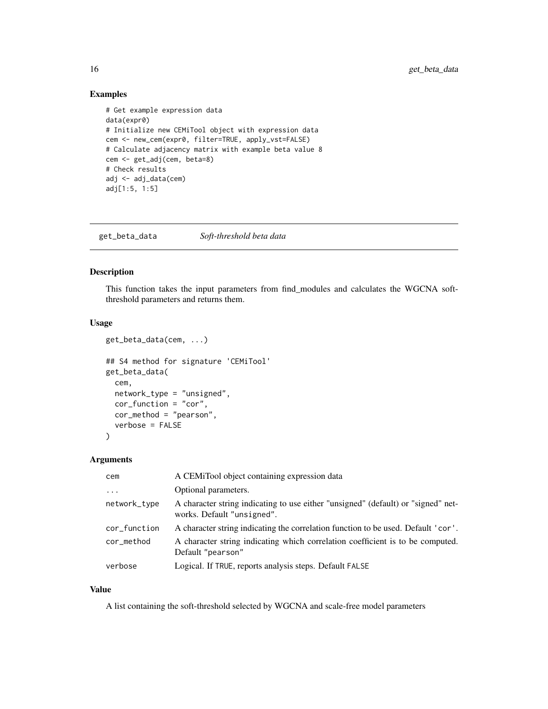#### <span id="page-15-0"></span>Examples

```
# Get example expression data
data(expr0)
# Initialize new CEMiTool object with expression data
cem <- new_cem(expr0, filter=TRUE, apply_vst=FALSE)
# Calculate adjacency matrix with example beta value 8
cem <- get_adj(cem, beta=8)
# Check results
adj <- adj_data(cem)
adj[1:5, 1:5]
```
get\_beta\_data *Soft-threshold beta data*

#### Description

This function takes the input parameters from find\_modules and calculates the WGCNA softthreshold parameters and returns them.

#### Usage

```
get_beta_data(cem, ...)
## S4 method for signature 'CEMiTool'
get_beta_data(
  cem,
  network_type = "unsigned",
  cor_function = "cor",
  cor_method = "pearson",
  verbose = FALSE
)
```
#### Arguments

| cem          | A CEMITool object containing expression data                                                                    |
|--------------|-----------------------------------------------------------------------------------------------------------------|
| $\ddots$     | Optional parameters.                                                                                            |
| network_type | A character string indicating to use either "unsigned" (default) or "signed" net-<br>works. Default "unsigned". |
| cor_function | A character string indicating the correlation function to be used. Default 'cor'.                               |
| cor_method   | A character string indicating which correlation coefficient is to be computed.<br>Default "pearson"             |
| verbose      | Logical. If TRUE, reports analysis steps. Default FALSE                                                         |

#### Value

A list containing the soft-threshold selected by WGCNA and scale-free model parameters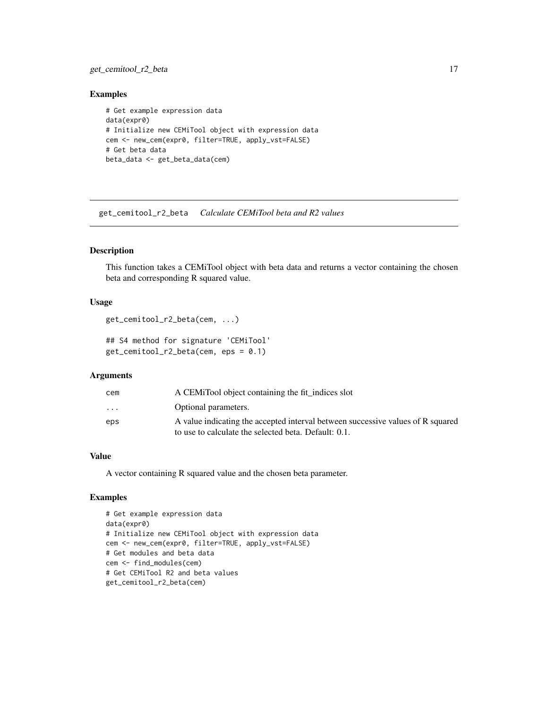# <span id="page-16-0"></span>get\_cemitool\_r2\_beta 17

#### Examples

```
# Get example expression data
data(expr0)
# Initialize new CEMiTool object with expression data
cem <- new_cem(expr0, filter=TRUE, apply_vst=FALSE)
# Get beta data
beta_data <- get_beta_data(cem)
```
get\_cemitool\_r2\_beta *Calculate CEMiTool beta and R2 values*

#### Description

This function takes a CEMiTool object with beta data and returns a vector containing the chosen beta and corresponding R squared value.

#### Usage

```
get_cemitool_r2_beta(cem, ...)
```

```
## S4 method for signature 'CEMiTool'
get_cemitool_r2_beta(cem, eps = 0.1)
```
#### Arguments

| cem                     | A CEMITool object containing the fit indices slot                                                                                       |
|-------------------------|-----------------------------------------------------------------------------------------------------------------------------------------|
| $\cdot$ $\cdot$ $\cdot$ | Optional parameters.                                                                                                                    |
| eps                     | A value indicating the accepted interval between successive values of R squared<br>to use to calculate the selected beta. Default: 0.1. |

#### Value

A vector containing R squared value and the chosen beta parameter.

```
# Get example expression data
data(expr0)
# Initialize new CEMiTool object with expression data
cem <- new_cem(expr0, filter=TRUE, apply_vst=FALSE)
# Get modules and beta data
cem <- find_modules(cem)
# Get CEMiTool R2 and beta values
get_cemitool_r2_beta(cem)
```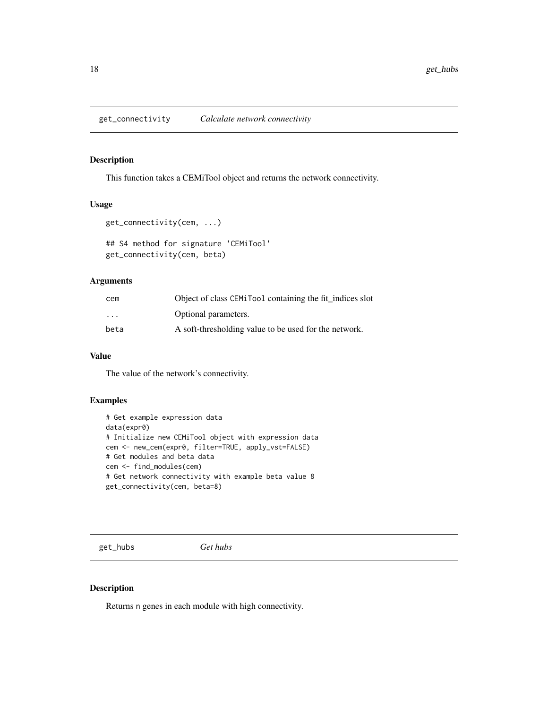<span id="page-17-0"></span>get\_connectivity *Calculate network connectivity*

#### Description

This function takes a CEMiTool object and returns the network connectivity.

#### Usage

```
get_connectivity(cem, ...)
```

```
## S4 method for signature 'CEMiTool'
get_connectivity(cem, beta)
```
# Arguments

| cem                     | Object of class CEMiTool containing the fit_indices slot |
|-------------------------|----------------------------------------------------------|
| $\cdot$ $\cdot$ $\cdot$ | Optional parameters.                                     |
| beta                    | A soft-thresholding value to be used for the network.    |

#### Value

The value of the network's connectivity.

#### Examples

```
# Get example expression data
data(expr0)
# Initialize new CEMiTool object with expression data
cem <- new_cem(expr0, filter=TRUE, apply_vst=FALSE)
# Get modules and beta data
cem <- find_modules(cem)
# Get network connectivity with example beta value 8
get_connectivity(cem, beta=8)
```
get\_hubs *Get hubs*

#### Description

Returns n genes in each module with high connectivity.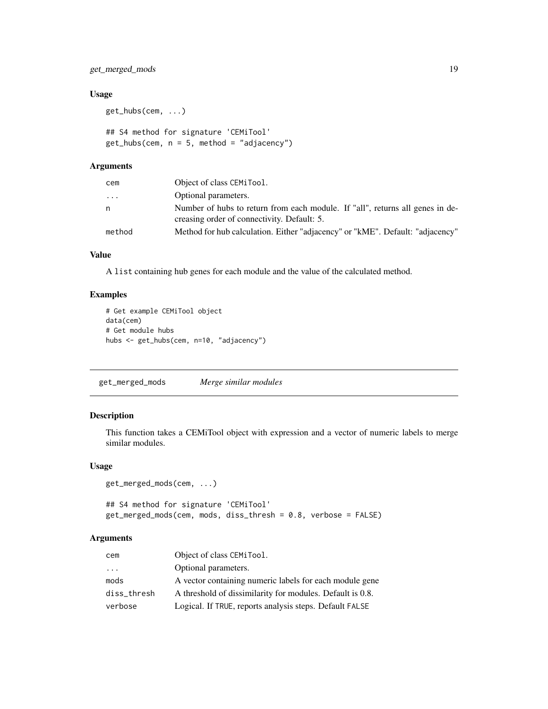<span id="page-18-0"></span>get\_merged\_mods 19

#### Usage

get\_hubs(cem, ...)

## S4 method for signature 'CEMiTool'  $get\_hubs(cem, n = 5, method = "adjacency")$ 

#### Arguments

| cem    | Object of class CEMiTool.                                                                                                    |
|--------|------------------------------------------------------------------------------------------------------------------------------|
| .      | Optional parameters.                                                                                                         |
| n      | Number of hubs to return from each module. If "all", returns all genes in de-<br>creasing order of connectivity. Default: 5. |
| method | Method for hub calculation. Either "adjacency" or "kME". Default: "adjacency"                                                |
|        |                                                                                                                              |

#### Value

A list containing hub genes for each module and the value of the calculated method.

# Examples

```
# Get example CEMiTool object
data(cem)
# Get module hubs
hubs <- get_hubs(cem, n=10, "adjacency")
```
get\_merged\_mods *Merge similar modules*

#### Description

This function takes a CEMiTool object with expression and a vector of numeric labels to merge similar modules.

#### Usage

```
get_merged_mods(cem, ...)
```
## S4 method for signature 'CEMiTool' get\_merged\_mods(cem, mods, diss\_thresh = 0.8, verbose = FALSE)

#### Arguments

| cem                     | Object of class CEMiTool.                                 |
|-------------------------|-----------------------------------------------------------|
| $\cdot$ $\cdot$ $\cdot$ | Optional parameters.                                      |
| mods                    | A vector containing numeric labels for each module gene   |
| diss thresh             | A threshold of dissimilarity for modules. Default is 0.8. |
| verbose                 | Logical. If TRUE, reports analysis steps. Default FALSE   |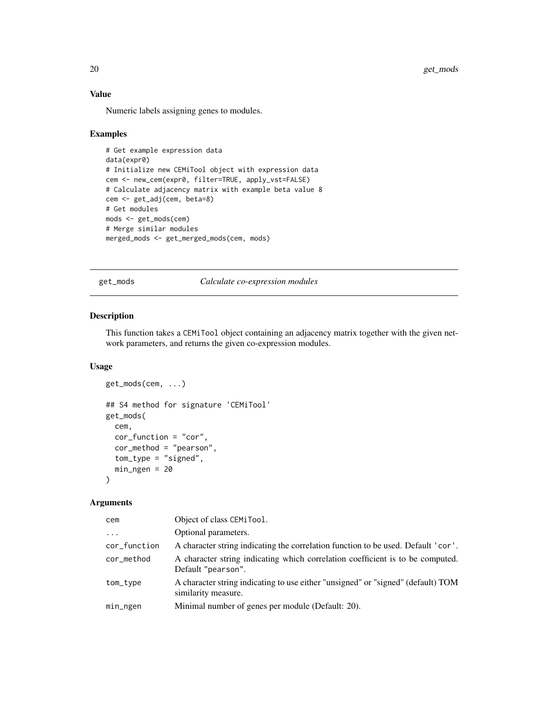# Value

Numeric labels assigning genes to modules.

#### Examples

```
# Get example expression data
data(expr0)
# Initialize new CEMiTool object with expression data
cem <- new_cem(expr0, filter=TRUE, apply_vst=FALSE)
# Calculate adjacency matrix with example beta value 8
cem <- get_adj(cem, beta=8)
# Get modules
mods <- get_mods(cem)
# Merge similar modules
merged_mods <- get_merged_mods(cem, mods)
```
get\_mods *Calculate co-expression modules*

#### Description

This function takes a CEMiTool object containing an adjacency matrix together with the given network parameters, and returns the given co-expression modules.

#### Usage

```
get_mods(cem, ...)
## S4 method for signature 'CEMiTool'
get_mods(
  cem,
  cor_function = "cor",
  cor_method = "pearson",
  tom_type = "signed",
 min_ngen = 20
\mathcal{L}
```
#### Arguments

| cem          | Object of class CEMiTool.                                                                               |
|--------------|---------------------------------------------------------------------------------------------------------|
| $\cdot$      | Optional parameters.                                                                                    |
| cor_function | A character string indicating the correlation function to be used. Default 'cor'.                       |
| cor_method   | A character string indicating which correlation coefficient is to be computed.<br>Default "pearson".    |
| tom_type     | A character string indicating to use either "unsigned" or "signed" (default) TOM<br>similarity measure. |
| min_ngen     | Minimal number of genes per module (Default: 20).                                                       |

<span id="page-19-0"></span>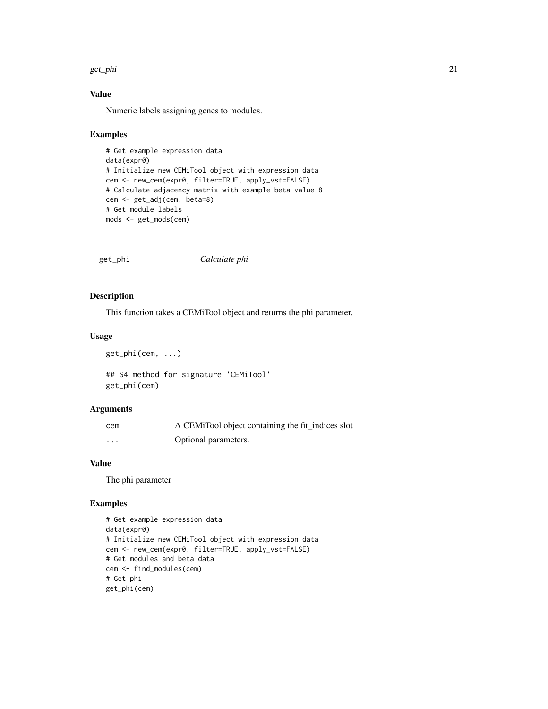#### <span id="page-20-0"></span>get\_phi 21

# Value

Numeric labels assigning genes to modules.

#### Examples

```
# Get example expression data
data(expr0)
# Initialize new CEMiTool object with expression data
cem <- new_cem(expr0, filter=TRUE, apply_vst=FALSE)
# Calculate adjacency matrix with example beta value 8
cem <- get_adj(cem, beta=8)
# Get module labels
mods <- get_mods(cem)
```
get\_phi *Calculate phi*

## Description

This function takes a CEMiTool object and returns the phi parameter.

#### Usage

get\_phi(cem, ...)

## S4 method for signature 'CEMiTool' get\_phi(cem)

#### Arguments

| cem      | A CEMiTool object containing the fit_indices slot |
|----------|---------------------------------------------------|
| $\cdots$ | Optional parameters.                              |

#### Value

The phi parameter

```
# Get example expression data
data(expr0)
# Initialize new CEMiTool object with expression data
cem <- new_cem(expr0, filter=TRUE, apply_vst=FALSE)
# Get modules and beta data
cem <- find_modules(cem)
# Get phi
get_phi(cem)
```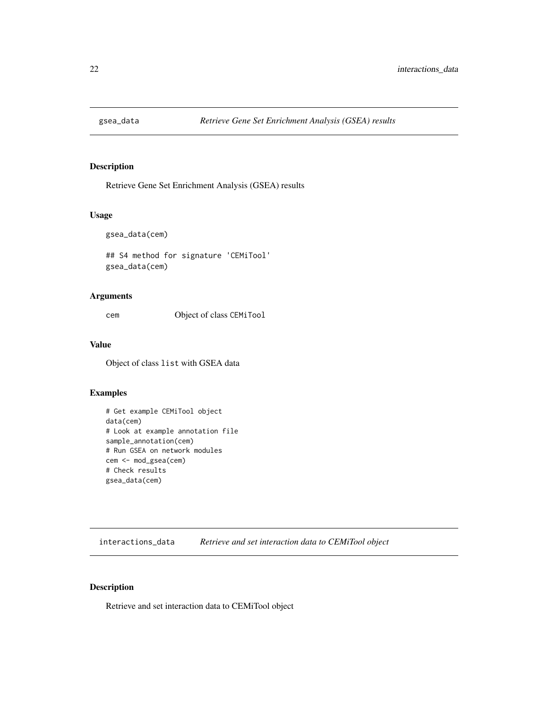<span id="page-21-0"></span>

# Description

Retrieve Gene Set Enrichment Analysis (GSEA) results

#### Usage

gsea\_data(cem)

## S4 method for signature 'CEMiTool' gsea\_data(cem)

## Arguments

cem Object of class CEMiTool

#### Value

Object of class list with GSEA data

# Examples

```
# Get example CEMiTool object
data(cem)
# Look at example annotation file
sample_annotation(cem)
# Run GSEA on network modules
cem <- mod_gsea(cem)
# Check results
gsea_data(cem)
```
interactions\_data *Retrieve and set interaction data to CEMiTool object*

#### Description

Retrieve and set interaction data to CEMiTool object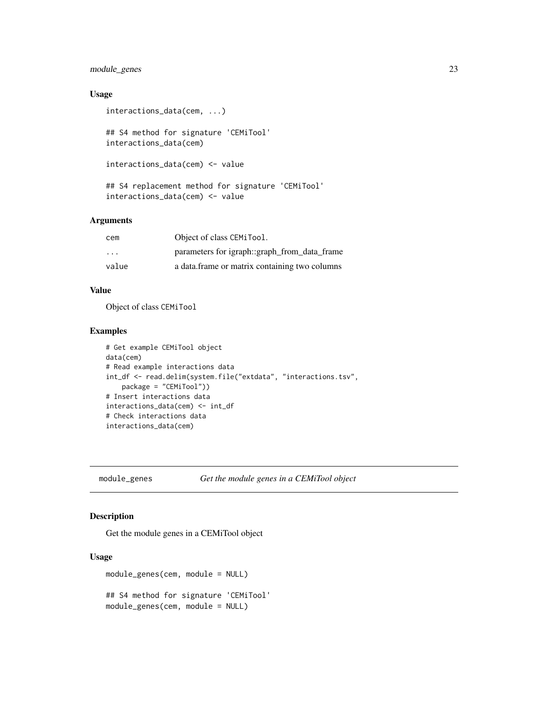# <span id="page-22-0"></span>module\_genes 23

#### Usage

```
interactions_data(cem, ...)
```
## S4 method for signature 'CEMiTool' interactions\_data(cem)

```
interactions_data(cem) <- value
```
## S4 replacement method for signature 'CEMiTool' interactions\_data(cem) <- value

# Arguments

| cem                     | Object of class CEMiTool.                     |
|-------------------------|-----------------------------------------------|
| $\cdot$ $\cdot$ $\cdot$ | parameters for igraph::graph_from_data_frame  |
| value                   | a data frame or matrix containing two columns |

## Value

Object of class CEMiTool

# Examples

```
# Get example CEMiTool object
data(cem)
# Read example interactions data
int_df <- read.delim(system.file("extdata", "interactions.tsv",
   package = "CEMiTool"))
# Insert interactions data
interactions_data(cem) <- int_df
# Check interactions data
interactions_data(cem)
```
module\_genes *Get the module genes in a CEMiTool object*

# Description

Get the module genes in a CEMiTool object

# Usage

```
module_genes(cem, module = NULL)
## S4 method for signature 'CEMiTool'
module_genes(cem, module = NULL)
```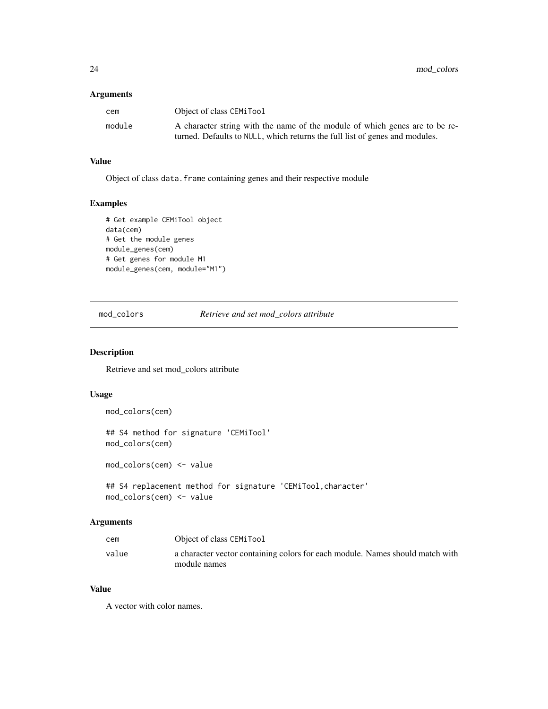#### <span id="page-23-0"></span>Arguments

| cem    | Object of class CEMiTool                                                    |
|--------|-----------------------------------------------------------------------------|
| module | A character string with the name of the module of which genes are to be re- |
|        | turned. Defaults to NULL, which returns the full list of genes and modules. |

#### Value

Object of class data. frame containing genes and their respective module

#### Examples

```
# Get example CEMiTool object
data(cem)
# Get the module genes
module_genes(cem)
# Get genes for module M1
module_genes(cem, module="M1")
```
mod\_colors *Retrieve and set mod\_colors attribute*

# Description

Retrieve and set mod\_colors attribute

#### Usage

```
mod_colors(cem)
```
## S4 method for signature 'CEMiTool' mod\_colors(cem)

mod\_colors(cem) <- value

```
## S4 replacement method for signature 'CEMiTool,character'
mod_colors(cem) <- value
```
#### Arguments

| cem   | Object of class CEMiTool                                                      |
|-------|-------------------------------------------------------------------------------|
| value | a character vector containing colors for each module. Names should match with |
|       | module names                                                                  |

# Value

A vector with color names.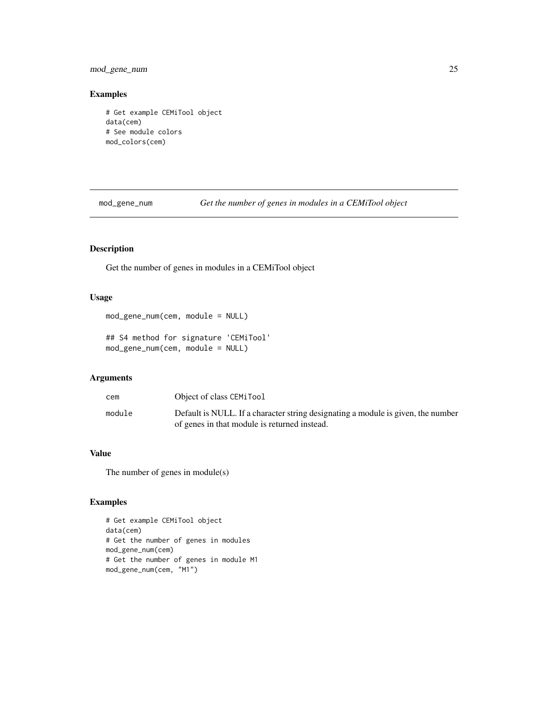# <span id="page-24-0"></span>mod\_gene\_num 25

#### Examples

```
# Get example CEMiTool object
data(cem)
# See module colors
mod_colors(cem)
```
mod\_gene\_num *Get the number of genes in modules in a CEMiTool object*

# Description

Get the number of genes in modules in a CEMiTool object

#### Usage

```
mod_gene_num(cem, module = NULL)
```
## S4 method for signature 'CEMiTool' mod\_gene\_num(cem, module = NULL)

#### Arguments

| cem    | Object of class CEMiTool                                                                                                         |
|--------|----------------------------------------------------------------------------------------------------------------------------------|
| module | Default is NULL. If a character string designating a module is given, the number<br>of genes in that module is returned instead. |

# Value

The number of genes in module(s)

```
# Get example CEMiTool object
data(cem)
# Get the number of genes in modules
mod_gene_num(cem)
# Get the number of genes in module M1
mod_gene_num(cem, "M1")
```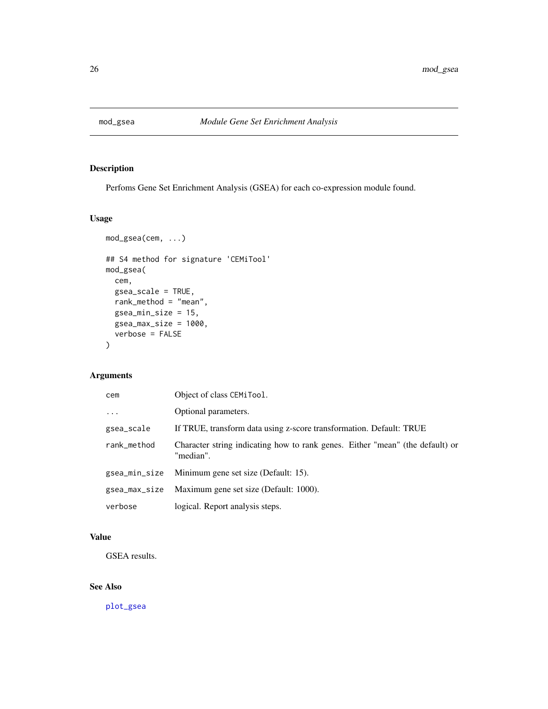<span id="page-25-0"></span>

# Description

Perfoms Gene Set Enrichment Analysis (GSEA) for each co-expression module found.

#### Usage

```
mod_gsea(cem, ...)
## S4 method for signature 'CEMiTool'
mod_gsea(
 cem,
 gsea_scale = TRUE,
 rank_method = "mean",
 gsea_min_size = 15,
 gsea_max_size = 1000,
 verbose = FALSE
\mathcal{E}
```
# Arguments

| cem           | Object of class CEMiTool.                                                                  |
|---------------|--------------------------------------------------------------------------------------------|
| $\ddots$      | Optional parameters.                                                                       |
| gsea_scale    | If TRUE, transform data using z-score transformation. Default: TRUE                        |
| rank_method   | Character string indicating how to rank genes. Either "mean" (the default) or<br>"median". |
| gsea_min_size | Minimum gene set size (Default: 15).                                                       |
| gsea_max_size | Maximum gene set size (Default: 1000).                                                     |
| verbose       | logical. Report analysis steps.                                                            |

# Value

GSEA results.

# See Also

[plot\\_gsea](#page-32-1)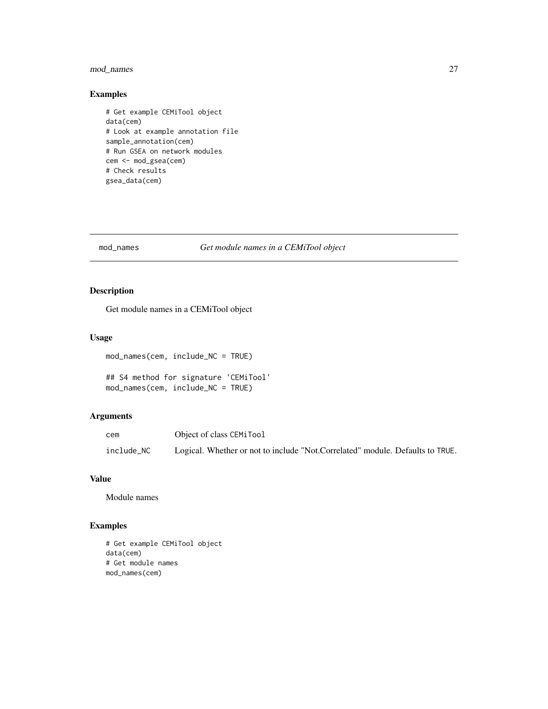# <span id="page-26-0"></span>mod\_names 27

# Examples

```
# Get example CEMiTool object
data(cem)
# Look at example annotation file
sample_annotation(cem)
# Run GSEA on network modules
cem <- mod_gsea(cem)
# Check results
gsea_data(cem)
```
#### mod\_names *Get module names in a CEMiTool object*

# Description

Get module names in a CEMiTool object

#### Usage

```
mod_names(cem, include_NC = TRUE)
## S4 method for signature 'CEMiTool'
```

```
mod_names(cem, include_NC = TRUE)
```
# Arguments

| cem        | Object of class CEMiTool                                                      |
|------------|-------------------------------------------------------------------------------|
| include_NC | Logical. Whether or not to include "Not.Correlated" module. Defaults to TRUE. |

# Value

Module names

```
# Get example CEMiTool object
data(cem)
# Get module names
mod_names(cem)
```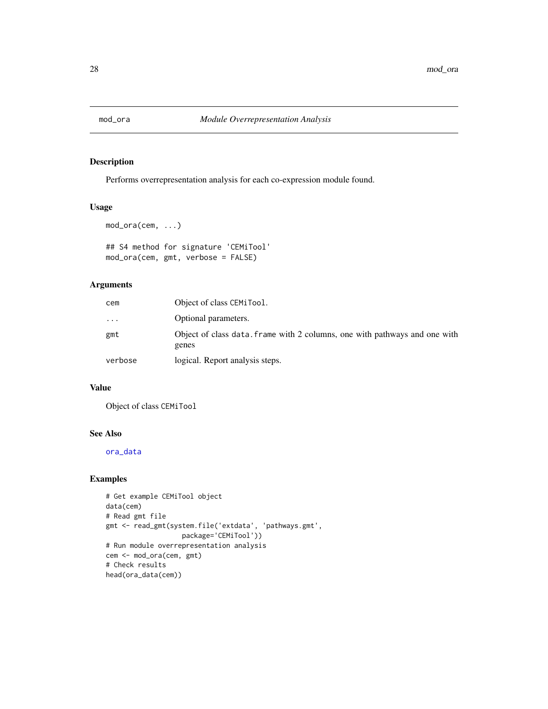<span id="page-27-0"></span>

# Description

Performs overrepresentation analysis for each co-expression module found.

#### Usage

```
mod_ora(cem, ...)
## S4 method for signature 'CEMiTool'
mod_ora(cem, gmt, verbose = FALSE)
```
# Arguments

| cem       | Object of class CEMiTool.                                                           |
|-----------|-------------------------------------------------------------------------------------|
| $\ddotsc$ | Optional parameters.                                                                |
| gmt       | Object of class data. frame with 2 columns, one with pathways and one with<br>genes |
| verbose   | logical. Report analysis steps.                                                     |

#### Value

Object of class CEMiTool

# See Also

[ora\\_data](#page-30-1)

```
# Get example CEMiTool object
data(cem)
# Read gmt file
gmt <- read_gmt(system.file('extdata', 'pathways.gmt',
                  package='CEMiTool'))
# Run module overrepresentation analysis
cem <- mod_ora(cem, gmt)
# Check results
head(ora_data(cem))
```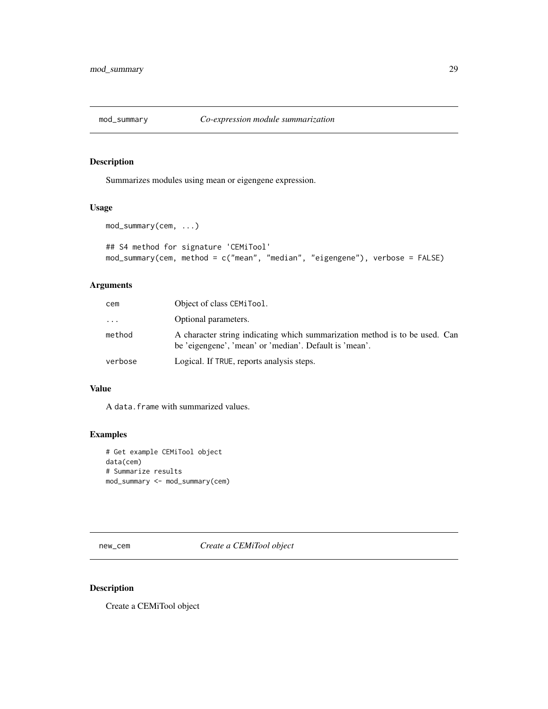<span id="page-28-0"></span>

# Description

Summarizes modules using mean or eigengene expression.

#### Usage

```
mod_summary(cem, ...)
## S4 method for signature 'CEMiTool'
mod_summary(cem, method = c("mean", "median", "eigengene"), verbose = FALSE)
```
# Arguments

| cem     | Object of class CEMiTool.                                                                                                             |
|---------|---------------------------------------------------------------------------------------------------------------------------------------|
| .       | Optional parameters.                                                                                                                  |
| method  | A character string indicating which summarization method is to be used. Can<br>be 'eigengene', 'mean' or 'median'. Default is 'mean'. |
| verbose | Logical. If TRUE, reports analysis steps.                                                                                             |

# Value

A data.frame with summarized values.

## Examples

```
# Get example CEMiTool object
data(cem)
# Summarize results
mod_summary <- mod_summary(cem)
```
new\_cem *Create a CEMiTool object*

# Description

Create a CEMiTool object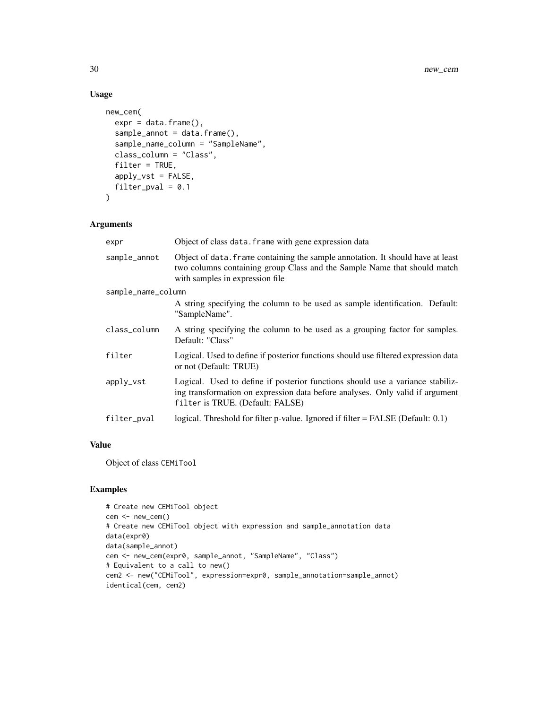# Usage

```
new_cem(
  expr = data.frame(),sample_annot = data.frame(),
  sample_name_column = "SampleName",
  class_column = "Class",
  filter = TRUE,apply_vst = FALSE,
 filter_pval = 0.1\mathcal{L}
```
#### Arguments

| expr               | Object of class data. frame with gene expression data                                                                                                                                               |
|--------------------|-----------------------------------------------------------------------------------------------------------------------------------------------------------------------------------------------------|
| sample_annot       | Object of data. frame containing the sample annotation. It should have at least<br>two columns containing group Class and the Sample Name that should match<br>with samples in expression file.     |
| sample_name_column |                                                                                                                                                                                                     |
|                    | A string specifying the column to be used as sample identification. Default:<br>"SampleName".                                                                                                       |
| class_column       | A string specifying the column to be used as a grouping factor for samples.<br>Default: "Class"                                                                                                     |
| filter             | Logical. Used to define if posterior functions should use filtered expression data<br>or not (Default: TRUE)                                                                                        |
| apply_vst          | Logical. Used to define if posterior functions should use a variance stabiliz-<br>ing transformation on expression data before analyses. Only valid if argument<br>filter is TRUE. (Default: FALSE) |
| filter_pval        | logical. Threshold for filter p-value. Ignored if filter $=$ FALSE (Default: 0.1)                                                                                                                   |

#### Value

Object of class CEMiTool

```
# Create new CEMiTool object
cem <- new_cem()
# Create new CEMiTool object with expression and sample_annotation data
data(expr0)
data(sample_annot)
cem <- new_cem(expr0, sample_annot, "SampleName", "Class")
# Equivalent to a call to new()
cem2 <- new("CEMiTool", expression=expr0, sample_annotation=sample_annot)
identical(cem, cem2)
```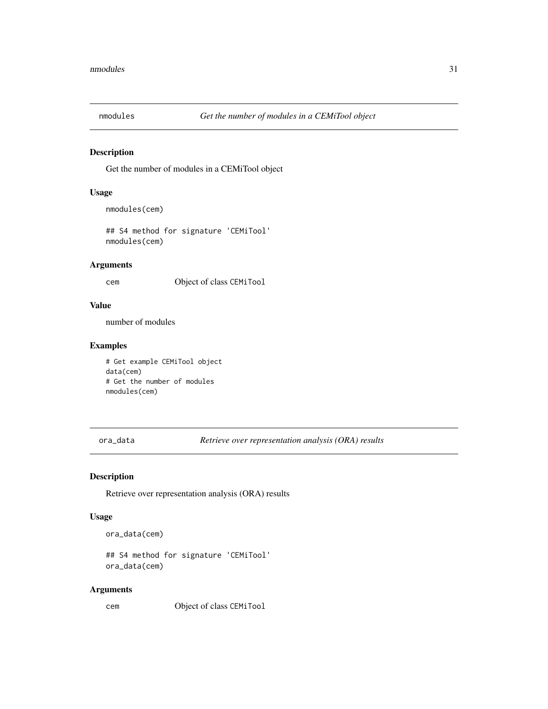<span id="page-30-0"></span>

# Description

Get the number of modules in a CEMiTool object

#### Usage

```
nmodules(cem)
```
## S4 method for signature 'CEMiTool' nmodules(cem)

# Arguments

cem Object of class CEMiTool

#### Value

number of modules

## Examples

# Get example CEMiTool object data(cem) # Get the number of modules nmodules(cem)

<span id="page-30-1"></span>ora\_data *Retrieve over representation analysis (ORA) results*

# Description

Retrieve over representation analysis (ORA) results

#### Usage

ora\_data(cem)

## S4 method for signature 'CEMiTool' ora\_data(cem)

#### Arguments

cem Object of class CEMiTool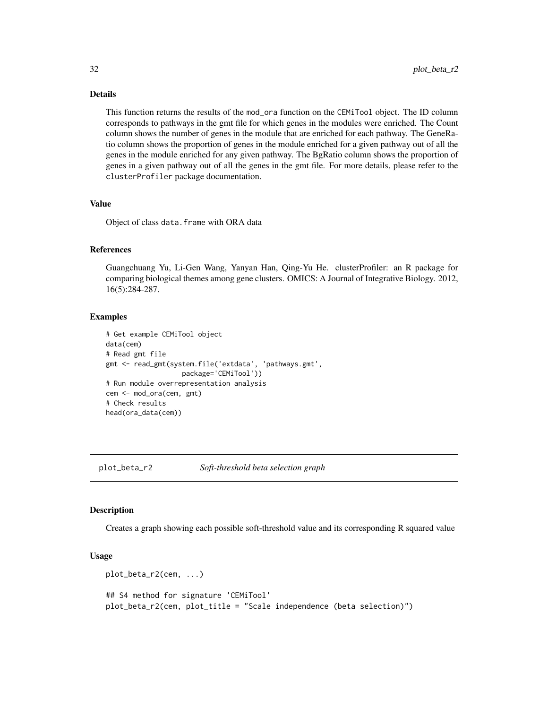## Details

This function returns the results of the mod\_ora function on the CEMiTool object. The ID column corresponds to pathways in the gmt file for which genes in the modules were enriched. The Count column shows the number of genes in the module that are enriched for each pathway. The GeneRatio column shows the proportion of genes in the module enriched for a given pathway out of all the genes in the module enriched for any given pathway. The BgRatio column shows the proportion of genes in a given pathway out of all the genes in the gmt file. For more details, please refer to the clusterProfiler package documentation.

#### Value

Object of class data.frame with ORA data

#### References

Guangchuang Yu, Li-Gen Wang, Yanyan Han, Qing-Yu He. clusterProfiler: an R package for comparing biological themes among gene clusters. OMICS: A Journal of Integrative Biology. 2012, 16(5):284-287.

#### Examples

```
# Get example CEMiTool object
data(cem)
# Read gmt file
gmt <- read_gmt(system.file('extdata', 'pathways.gmt',
                   package='CEMiTool'))
# Run module overrepresentation analysis
cem <- mod_ora(cem, gmt)
# Check results
head(ora_data(cem))
```
plot\_beta\_r2 *Soft-threshold beta selection graph*

#### Description

Creates a graph showing each possible soft-threshold value and its corresponding R squared value

#### Usage

```
plot_beta_r2(cem, ...)
## S4 method for signature 'CEMiTool'
plot_beta_r2(cem, plot_title = "Scale independence (beta selection)")
```
<span id="page-31-0"></span>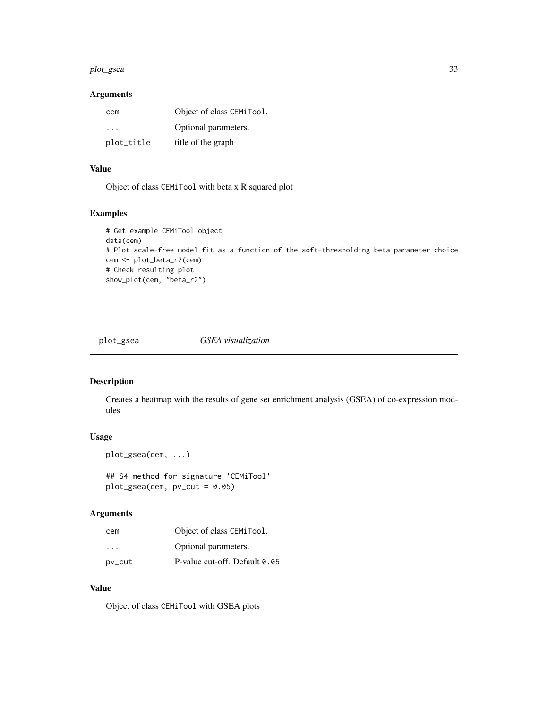#### <span id="page-32-0"></span>plot\_gsea 33

#### Arguments

| cem        | Object of class CEMiTool. |
|------------|---------------------------|
| .          | Optional parameters.      |
| plot_title | title of the graph        |

# Value

Object of class CEMiTool with beta x R squared plot

#### Examples

```
# Get example CEMiTool object
data(cem)
# Plot scale-free model fit as a function of the soft-thresholding beta parameter choice
cem <- plot_beta_r2(cem)
# Check resulting plot
show_plot(cem, "beta_r2")
```
<span id="page-32-1"></span>

plot\_gsea *GSEA visualization*

# Description

Creates a heatmap with the results of gene set enrichment analysis (GSEA) of co-expression modules

#### Usage

```
plot_gsea(cem, ...)
```
## S4 method for signature 'CEMiTool'  $plot\_gsea(cem, pv_cut = 0.05)$ 

#### Arguments

| cem    | Object of class CEMiTool.     |
|--------|-------------------------------|
| .      | Optional parameters.          |
| pv_cut | P-value cut-off. Default 0.05 |

#### Value

Object of class CEMiTool with GSEA plots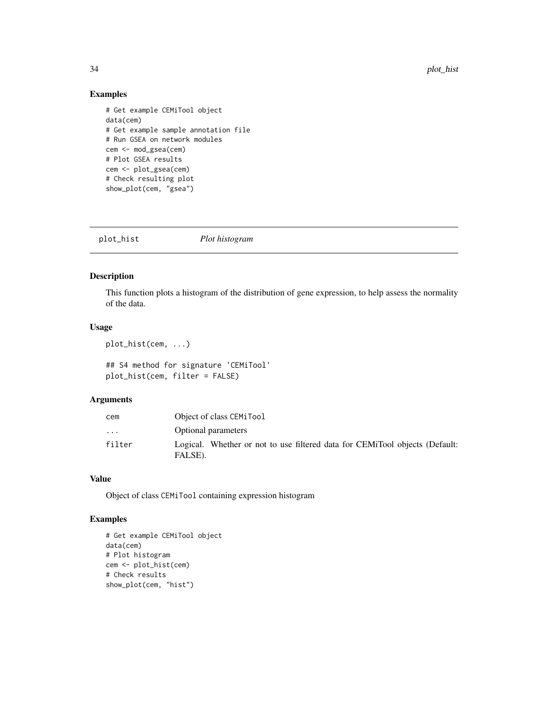# <span id="page-33-0"></span>Examples

```
# Get example CEMiTool object
data(cem)
# Get example sample annotation file
# Run GSEA on network modules
cem <- mod_gsea(cem)
# Plot GSEA results
cem <- plot_gsea(cem)
# Check resulting plot
show_plot(cem, "gsea")
```

```
plot_hist Plot histogram
```
# Description

This function plots a histogram of the distribution of gene expression, to help assess the normality of the data.

#### Usage

```
plot_hist(cem, ...)
```
## S4 method for signature 'CEMiTool' plot\_hist(cem, filter = FALSE)

#### Arguments

| cem                     | Object of class CEMiTool                                                               |  |
|-------------------------|----------------------------------------------------------------------------------------|--|
| $\cdot$ $\cdot$ $\cdot$ | Optional parameters                                                                    |  |
| filter                  | Logical. Whether or not to use filtered data for CEMiTool objects (Default:<br>FALSE). |  |

# Value

Object of class CEMiTool containing expression histogram

```
# Get example CEMiTool object
data(cem)
# Plot histogram
cem <- plot_hist(cem)
# Check results
show_plot(cem, "hist")
```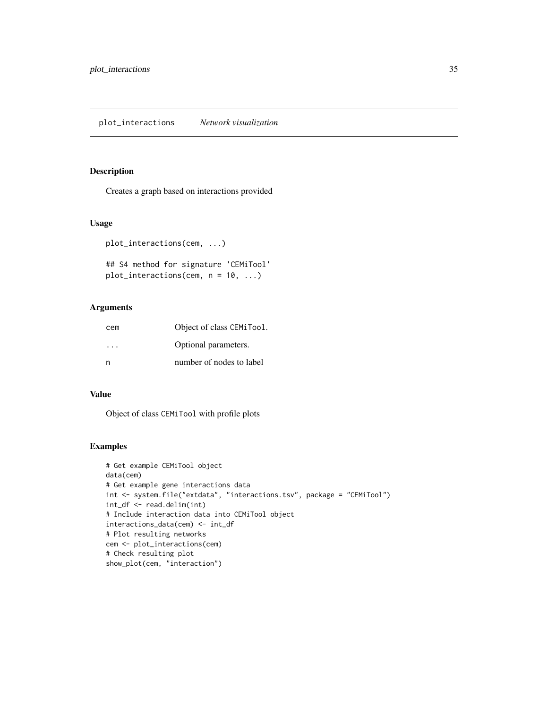# <span id="page-34-0"></span>Description

Creates a graph based on interactions provided

#### Usage

```
plot_interactions(cem, ...)
```

```
## S4 method for signature 'CEMiTool'
plot_interactions(cem, n = 10, ...)
```
#### Arguments

| cem | Object of class CEMiTool. |
|-----|---------------------------|
| .   | Optional parameters.      |
| n   | number of nodes to label  |

# Value

Object of class CEMiTool with profile plots

```
# Get example CEMiTool object
data(cem)
# Get example gene interactions data
int <- system.file("extdata", "interactions.tsv", package = "CEMiTool")
int_df <- read.delim(int)
# Include interaction data into CEMiTool object
interactions_data(cem) <- int_df
# Plot resulting networks
cem <- plot_interactions(cem)
# Check resulting plot
show_plot(cem, "interaction")
```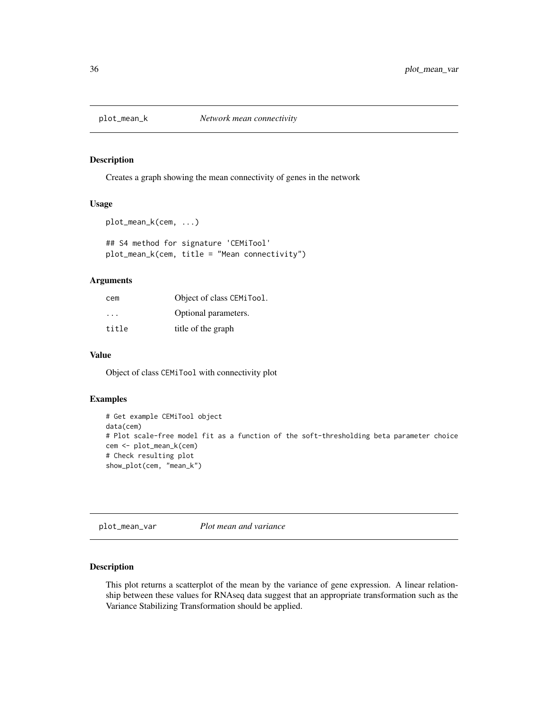<span id="page-35-0"></span>

#### Description

Creates a graph showing the mean connectivity of genes in the network

#### Usage

```
plot_mean_k(cem, ...)
## S4 method for signature 'CEMiTool'
plot_mean_k(cem, title = "Mean connectivity")
```
# Arguments

| cem                     | Object of class CEMiTool. |
|-------------------------|---------------------------|
| $\cdot$ $\cdot$ $\cdot$ | Optional parameters.      |
| title                   | title of the graph        |

#### Value

Object of class CEMiTool with connectivity plot

# Examples

```
# Get example CEMiTool object
data(cem)
# Plot scale-free model fit as a function of the soft-thresholding beta parameter choice
cem <- plot_mean_k(cem)
# Check resulting plot
show_plot(cem, "mean_k")
```
plot\_mean\_var *Plot mean and variance*

## Description

This plot returns a scatterplot of the mean by the variance of gene expression. A linear relationship between these values for RNAseq data suggest that an appropriate transformation such as the Variance Stabilizing Transformation should be applied.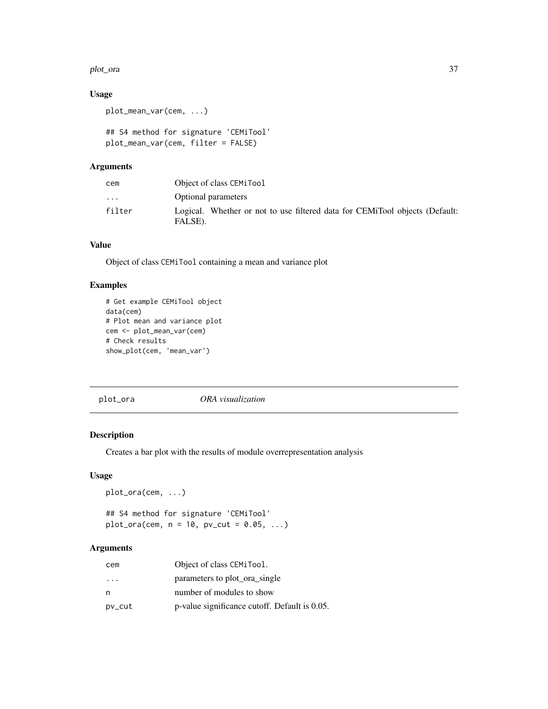#### <span id="page-36-0"></span>plot\_ora 37

# Usage

```
plot_mean_var(cem, ...)
```

```
## S4 method for signature 'CEMiTool'
plot_mean_var(cem, filter = FALSE)
```
# Arguments

| cem                     | Object of class CEMiTool                                                               |  |
|-------------------------|----------------------------------------------------------------------------------------|--|
| $\cdot$ $\cdot$ $\cdot$ | Optional parameters                                                                    |  |
| filter                  | Logical. Whether or not to use filtered data for CEMiTool objects (Default:<br>FALSE). |  |

# Value

Object of class CEMiTool containing a mean and variance plot

# Examples

```
# Get example CEMiTool object
data(cem)
# Plot mean and variance plot
cem <- plot_mean_var(cem)
# Check results
show_plot(cem, 'mean_var')
```
plot\_ora *ORA visualization*

# Description

Creates a bar plot with the results of module overrepresentation analysis

#### Usage

plot\_ora(cem, ...)

## S4 method for signature 'CEMiTool'  $plot_{\text{0}}(cem, n = 10, pv_{\text{0}}(cut = 0.05, ...))$ 

# Arguments

| cem                     | Object of class CEMiTool.                     |
|-------------------------|-----------------------------------------------|
| $\cdot$ $\cdot$ $\cdot$ | parameters to plot ora single                 |
| n                       | number of modules to show                     |
| pv_cut                  | p-value significance cutoff. Default is 0.05. |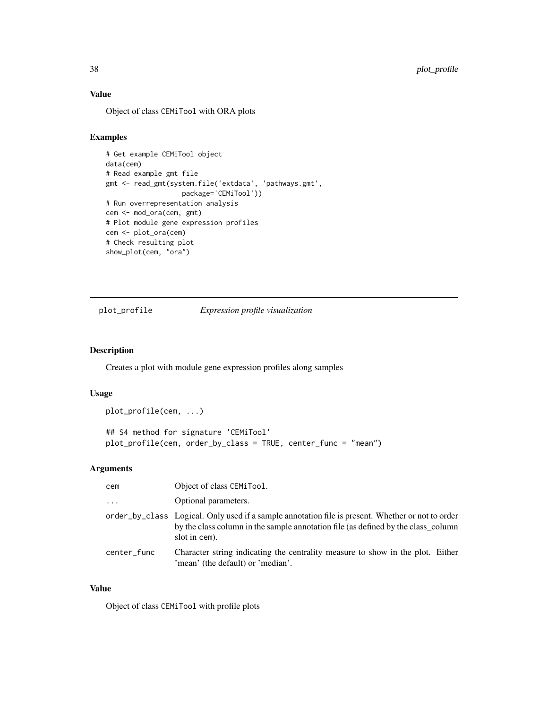# Value

Object of class CEMiTool with ORA plots

# Examples

```
# Get example CEMiTool object
data(cem)
# Read example gmt file
gmt <- read_gmt(system.file('extdata', 'pathways.gmt',
                   package='CEMiTool'))
# Run overrepresentation analysis
cem <- mod_ora(cem, gmt)
# Plot module gene expression profiles
cem <- plot_ora(cem)
# Check resulting plot
show_plot(cem, "ora")
```
plot\_profile *Expression profile visualization*

#### Description

Creates a plot with module gene expression profiles along samples

#### Usage

```
plot_profile(cem, ...)
```

```
## S4 method for signature 'CEMiTool'
plot_profile(cem, order_by_class = TRUE, center_func = "mean")
```
#### Arguments

| cem         | Object of class CEMiTool.                                                                                                                                                                               |
|-------------|---------------------------------------------------------------------------------------------------------------------------------------------------------------------------------------------------------|
| $\ddotsc$   | Optional parameters.                                                                                                                                                                                    |
|             | order_by_class Logical. Only used if a sample annotation file is present. Whether or not to order<br>by the class column in the sample annotation file (as defined by the class column<br>slot in cem). |
| center func | Character string indicating the centrality measure to show in the plot. Either<br>'mean' (the default) or 'median'.                                                                                     |

#### Value

Object of class CEMiTool with profile plots

<span id="page-37-0"></span>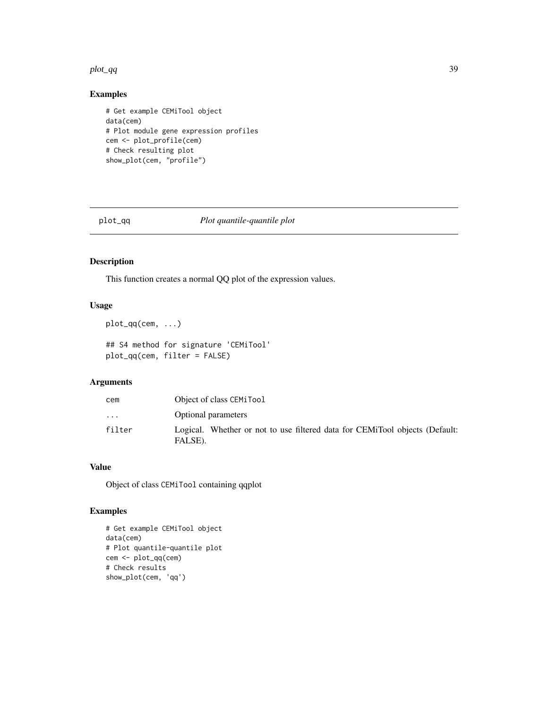#### <span id="page-38-0"></span>plot\_qq 39

# Examples

```
# Get example CEMiTool object
data(cem)
# Plot module gene expression profiles
cem <- plot_profile(cem)
# Check resulting plot
show_plot(cem, "profile")
```
plot\_qq *Plot quantile-quantile plot*

# Description

This function creates a normal QQ plot of the expression values.

# Usage

plot\_qq(cem, ...)

## S4 method for signature 'CEMiTool' plot\_qq(cem, filter = FALSE)

# Arguments

| cem       | Object of class CEMiTool                                                               |  |
|-----------|----------------------------------------------------------------------------------------|--|
| $\ddotsc$ | <b>Optional parameters</b>                                                             |  |
| filter    | Logical. Whether or not to use filtered data for CEMiTool objects (Default:<br>FALSE). |  |

#### Value

Object of class CEMiTool containing qqplot

```
# Get example CEMiTool object
data(cem)
# Plot quantile-quantile plot
cem <- plot_qq(cem)
# Check results
show_plot(cem, 'qq')
```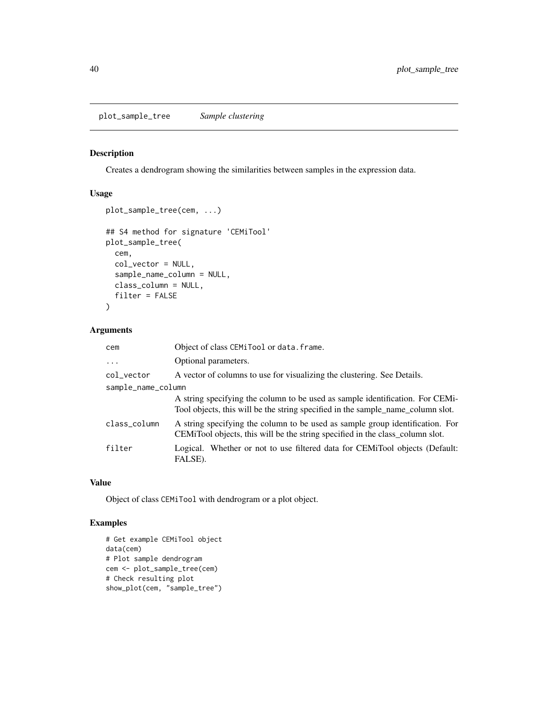# <span id="page-39-0"></span>Description

Creates a dendrogram showing the similarities between samples in the expression data.

# Usage

```
plot_sample_tree(cem, ...)
## S4 method for signature 'CEMiTool'
plot_sample_tree(
 cem,
  col_vector = NULL,
  sample_name_column = NULL,
  class_column = NULL,
  filter = FALSE
\mathcal{L}
```
# Arguments

| cem                | Object of class CEMiTool or data. frame.                                                                                                                         |  |
|--------------------|------------------------------------------------------------------------------------------------------------------------------------------------------------------|--|
| $\ddots$           | Optional parameters.                                                                                                                                             |  |
| col_vector         | A vector of columns to use for visualizing the clustering. See Details.                                                                                          |  |
| sample_name_column |                                                                                                                                                                  |  |
|                    | A string specifying the column to be used as sample identification. For CEMi-<br>Tool objects, this will be the string specified in the sample_name_column slot. |  |
| class_column       | A string specifying the column to be used as sample group identification. For<br>CEMiTool objects, this will be the string specified in the class_column slot.   |  |
| filter             | Logical. Whether or not to use filtered data for CEMiTool objects (Default:<br>FALSE).                                                                           |  |

#### Value

Object of class CEMiTool with dendrogram or a plot object.

```
# Get example CEMiTool object
data(cem)
# Plot sample dendrogram
cem <- plot_sample_tree(cem)
# Check resulting plot
show_plot(cem, "sample_tree")
```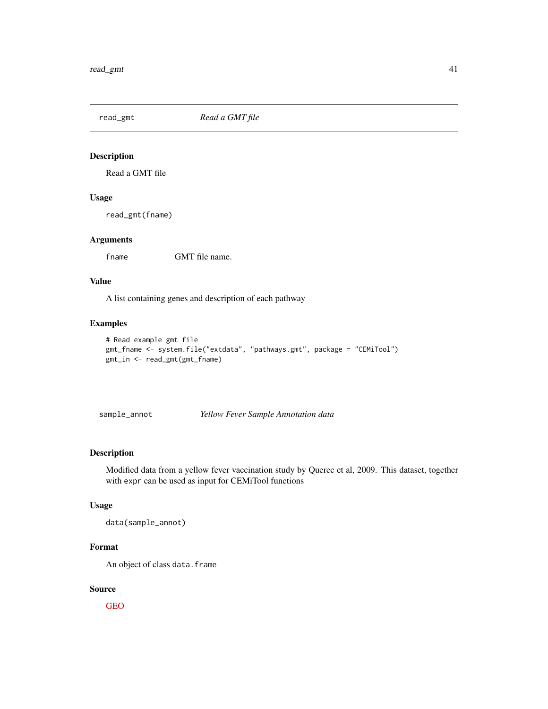<span id="page-40-0"></span>read\_gmt *Read a GMT file*

# Description

Read a GMT file

# Usage

read\_gmt(fname)

#### Arguments

fname GMT file name.

#### Value

A list containing genes and description of each pathway

#### Examples

```
# Read example gmt file
gmt_fname <- system.file("extdata", "pathways.gmt", package = "CEMiTool")
gmt_in <- read_gmt(gmt_fname)
```
sample\_annot *Yellow Fever Sample Annotation data*

# Description

Modified data from a yellow fever vaccination study by Querec et al, 2009. This dataset, together with expr can be used as input for CEMiTool functions

#### Usage

data(sample\_annot)

# Format

An object of class data.frame

# Source

[GEO](https://www.ncbi.nlm.nih.gov/geo/query/acc.cgi?acc=gse13485)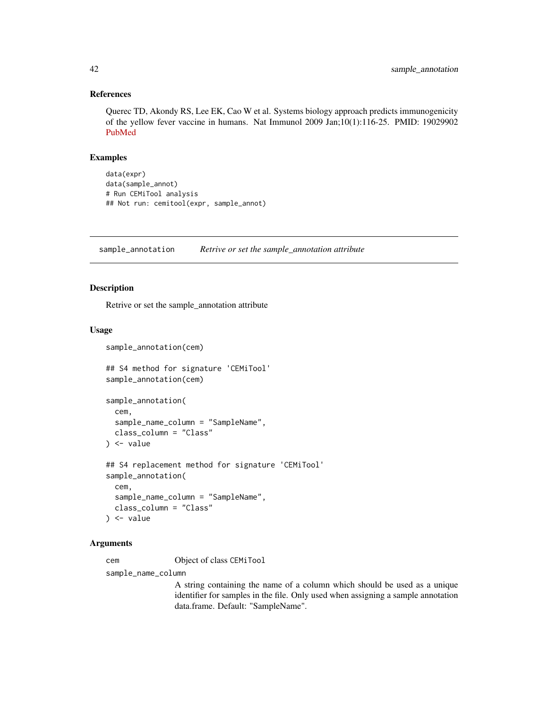#### References

Querec TD, Akondy RS, Lee EK, Cao W et al. Systems biology approach predicts immunogenicity of the yellow fever vaccine in humans. Nat Immunol 2009 Jan;10(1):116-25. PMID: 19029902 [PubMed](https://www.ncbi.nlm.nih.gov/pubmed/19029902)

# Examples

```
data(expr)
data(sample_annot)
# Run CEMiTool analysis
## Not run: cemitool(expr, sample_annot)
```
sample\_annotation *Retrive or set the sample\_annotation attribute*

#### Description

Retrive or set the sample\_annotation attribute

#### Usage

```
sample_annotation(cem)
```
## S4 method for signature 'CEMiTool' sample\_annotation(cem)

```
sample_annotation(
  cem,
  sample_name_column = "SampleName",
  class_column = "Class"
) \leftarrow value
## S4 replacement method for signature 'CEMiTool'
sample_annotation(
  cem,
  sample_name_column = "SampleName",
  class_column = "Class"
) <- value
```
#### Arguments

cem Object of class CEMiTool

sample\_name\_column

A string containing the name of a column which should be used as a unique identifier for samples in the file. Only used when assigning a sample annotation data.frame. Default: "SampleName".

<span id="page-41-0"></span>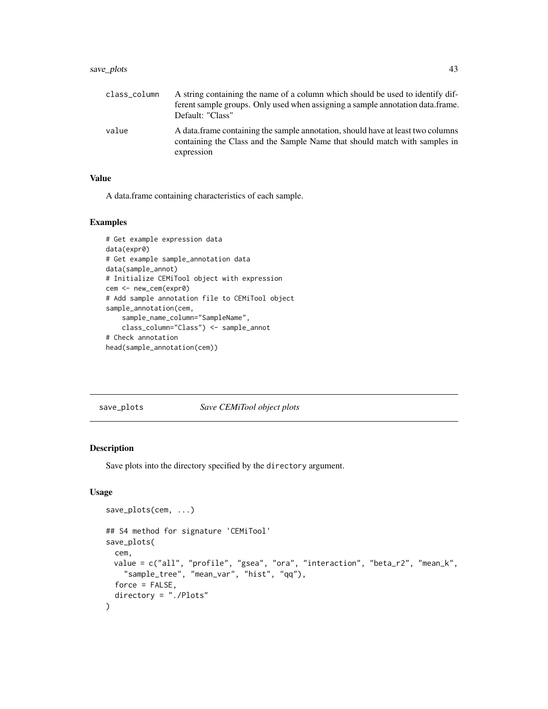# <span id="page-42-0"></span>save\_plots 43

| class_column | A string containing the name of a column which should be used to identify dif-<br>ferent sample groups. Only used when assigning a sample annotation data.frame.<br>Default: "Class" |
|--------------|--------------------------------------------------------------------------------------------------------------------------------------------------------------------------------------|
| value        | A data. frame containing the sample annotation, should have at least two columns<br>containing the Class and the Sample Name that should match with samples in<br>expression         |

# Value

A data.frame containing characteristics of each sample.

#### Examples

```
# Get example expression data
data(expr0)
# Get example sample_annotation data
data(sample_annot)
# Initialize CEMiTool object with expression
cem <- new_cem(expr0)
# Add sample annotation file to CEMiTool object
sample_annotation(cem,
   sample_name_column="SampleName",
   class_column="Class") <- sample_annot
# Check annotation
head(sample_annotation(cem))
```
save\_plots *Save CEMiTool object plots*

# Description

Save plots into the directory specified by the directory argument.

# Usage

```
save_plots(cem, ...)
## S4 method for signature 'CEMiTool'
save_plots(
 cem,
 value = c("all", "profile", "gsea", "ora", "interaction", "beta_r2", "mean_k",
    "sample_tree", "mean_var", "hist", "qq"),
 force = FALSE,directory = "./Plots"
)
```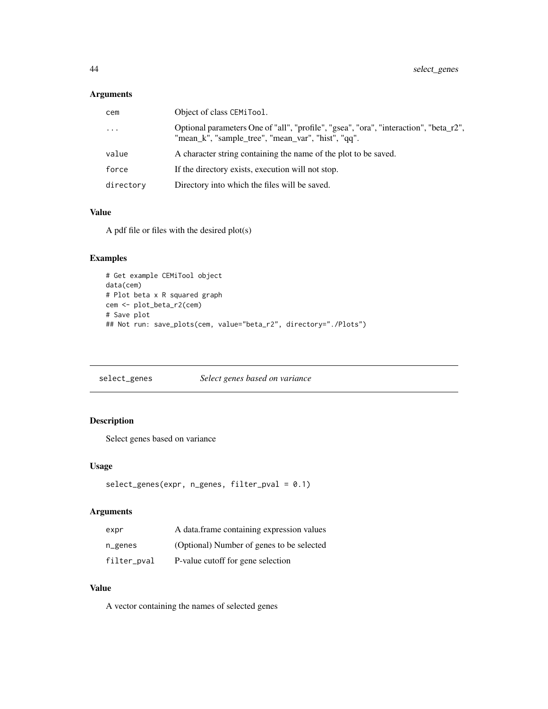#### <span id="page-43-0"></span>Arguments

| cem       | Object of class CEMiTool.                                                                                                                   |
|-----------|---------------------------------------------------------------------------------------------------------------------------------------------|
| $\cdots$  | Optional parameters One of "all", "profile", "gsea", "ora", "interaction", "beta_r2",<br>"mean_k", "sample_tree", "mean_var", "hist", "qq". |
| value     | A character string containing the name of the plot to be saved.                                                                             |
| force     | If the directory exists, execution will not stop.                                                                                           |
| directory | Directory into which the files will be saved.                                                                                               |

# Value

A pdf file or files with the desired plot(s)

# Examples

```
# Get example CEMiTool object
data(cem)
# Plot beta x R squared graph
cem <- plot_beta_r2(cem)
# Save plot
## Not run: save_plots(cem, value="beta_r2", directory="./Plots")
```
select\_genes *Select genes based on variance*

# Description

Select genes based on variance

# Usage

```
select_genes(expr, n_genes, filter_pval = 0.1)
```
# Arguments

| expr        | A data frame containing expression values |
|-------------|-------------------------------------------|
| n_genes     | (Optional) Number of genes to be selected |
| filter_pval | P-value cutoff for gene selection         |

#### Value

A vector containing the names of selected genes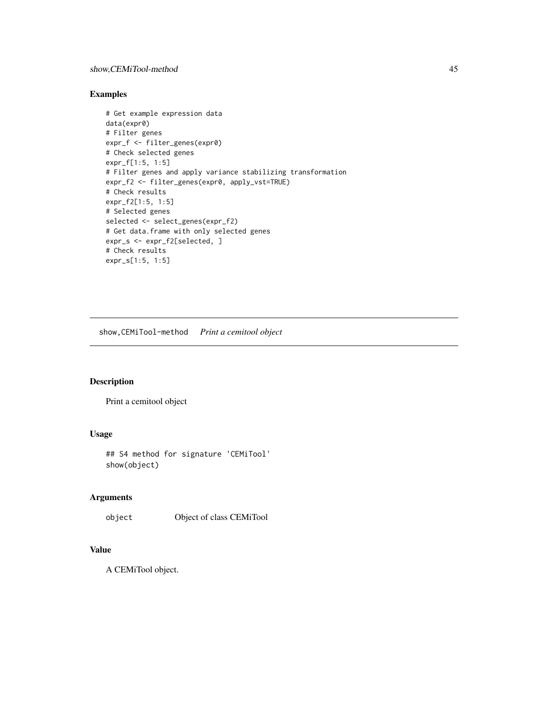# <span id="page-44-0"></span>Examples

```
# Get example expression data
data(expr0)
# Filter genes
expr_f <- filter_genes(expr0)
# Check selected genes
expr_f[1:5, 1:5]
# Filter genes and apply variance stabilizing transformation
expr_f2 <- filter_genes(expr0, apply_vst=TRUE)
# Check results
expr_f2[1:5, 1:5]
# Selected genes
selected <- select_genes(expr_f2)
# Get data.frame with only selected genes
expr_s <- expr_f2[selected, ]
# Check results
expr_s[1:5, 1:5]
```
show,CEMiTool-method *Print a cemitool object*

# Description

Print a cemitool object

## Usage

## S4 method for signature 'CEMiTool' show(object)

# Arguments

object Object of class CEMiTool

#### Value

A CEMiTool object.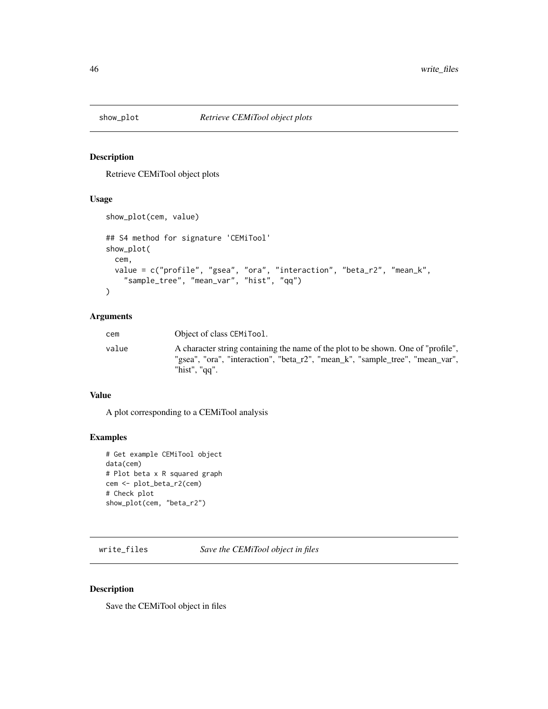<span id="page-45-0"></span>

# Description

Retrieve CEMiTool object plots

#### Usage

```
show_plot(cem, value)
## S4 method for signature 'CEMiTool'
show_plot(
  cem,
  value = c("profile", "gsea", "ora", "interaction", "beta_r2", "mean_k",
    "sample_tree", "mean_var", "hist", "qq")
\mathcal{L}
```
#### Arguments

| cem   | Object of class CEMiTool.                                                                                                                                                           |
|-------|-------------------------------------------------------------------------------------------------------------------------------------------------------------------------------------|
| value | A character string containing the name of the plot to be shown. One of "profile",<br>"gsea", "ora", "interaction", "beta_r2", "mean_k", "sample_tree", "mean_var",<br>"hist", "gg". |

# Value

A plot corresponding to a CEMiTool analysis

# Examples

```
# Get example CEMiTool object
data(cem)
# Plot beta x R squared graph
cem <- plot_beta_r2(cem)
# Check plot
show_plot(cem, "beta_r2")
```
write\_files *Save the CEMiTool object in files*

#### Description

Save the CEMiTool object in files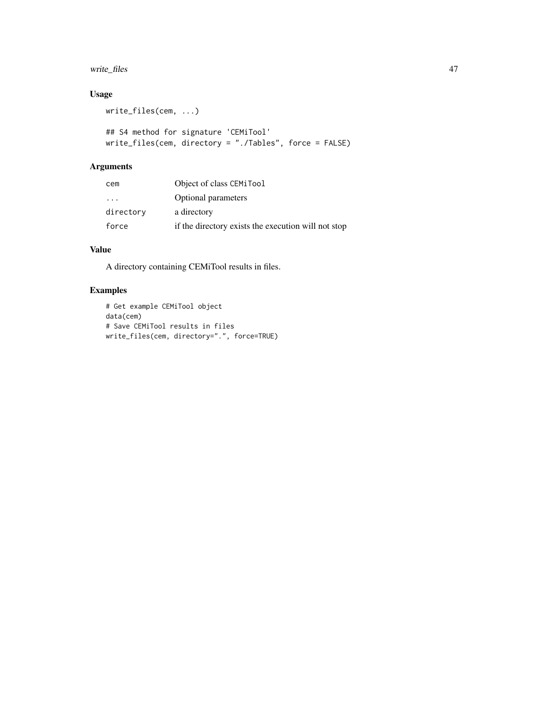# write\_files 47

# Usage

```
write_files(cem, ...)
## S4 method for signature 'CEMiTool'
write_files(cem, directory = "./Tables", force = FALSE)
```
# Arguments

| cem               | Object of class CEMiTool                            |
|-------------------|-----------------------------------------------------|
| $\cdot\cdot\cdot$ | Optional parameters                                 |
| directory         | a directory                                         |
| force             | if the directory exists the execution will not stop |

# Value

A directory containing CEMiTool results in files.

```
# Get example CEMiTool object
data(cem)
# Save CEMiTool results in files
write_files(cem, directory=".", force=TRUE)
```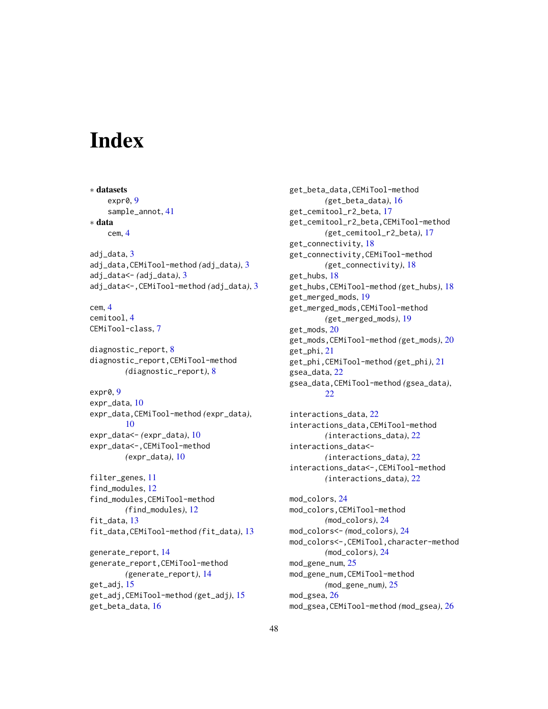# <span id="page-47-0"></span>**Index**

∗ datasets expr0, [9](#page-8-0) sample\_annot, [41](#page-40-0) ∗ data cem, [4](#page-3-0) adj\_data, [3](#page-2-0) adj\_data,CEMiTool-method *(*adj\_data*)*, [3](#page-2-0) adj\_data<- *(*adj\_data*)*, [3](#page-2-0) adj\_data<-,CEMiTool-method *(*adj\_data*)*, [3](#page-2-0) cem, [4](#page-3-0) cemitool, [4](#page-3-0) CEMiTool-class, [7](#page-6-0) diagnostic\_report, [8](#page-7-0) diagnostic\_report,CEMiTool-method *(*diagnostic\_report*)*, [8](#page-7-0) expr0, [9](#page-8-0) expr\_data, [10](#page-9-0) expr\_data,CEMiTool-method *(*expr\_data*)*, [10](#page-9-0) expr\_data<- *(*expr\_data*)*, [10](#page-9-0) expr\_data<-,CEMiTool-method *(*expr\_data*)*, [10](#page-9-0) filter\_genes, [11](#page-10-0) find\_modules, [12](#page-11-0) find\_modules,CEMiTool-method *(*find\_modules*)*, [12](#page-11-0) fit\_data, [13](#page-12-0) fit\_data,CEMiTool-method *(*fit\_data*)*, [13](#page-12-0) generate\_report, [14](#page-13-0) generate\_report,CEMiTool-method *(*generate\_report*)*, [14](#page-13-0) get\_adj, [15](#page-14-0) get\_adj,CEMiTool-method *(*get\_adj*)*, [15](#page-14-0) get\_beta\_data, [16](#page-15-0)

get\_beta\_data,CEMiTool-method *(*get\_beta\_data*)*, [16](#page-15-0) get\_cemitool\_r2\_beta, [17](#page-16-0) get\_cemitool\_r2\_beta,CEMiTool-method *(*get\_cemitool\_r2\_beta*)*, [17](#page-16-0) get\_connectivity, [18](#page-17-0) get\_connectivity,CEMiTool-method *(*get\_connectivity*)*, [18](#page-17-0) get\_hubs, [18](#page-17-0) get\_hubs,CEMiTool-method *(*get\_hubs*)*, [18](#page-17-0) get\_merged\_mods, [19](#page-18-0) get\_merged\_mods,CEMiTool-method *(*get\_merged\_mods*)*, [19](#page-18-0) get\_mods, [20](#page-19-0) get\_mods,CEMiTool-method *(*get\_mods*)*, [20](#page-19-0) get\_phi, [21](#page-20-0) get\_phi,CEMiTool-method *(*get\_phi*)*, [21](#page-20-0) gsea\_data, [22](#page-21-0) gsea\_data,CEMiTool-method *(*gsea\_data*)*, [22](#page-21-0) interactions\_data, [22](#page-21-0) interactions\_data,CEMiTool-method

*(*interactions\_data*)*, [22](#page-21-0) interactions\_data<- *(*interactions\_data*)*, [22](#page-21-0) interactions\_data<-,CEMiTool-method *(*interactions\_data*)*, [22](#page-21-0)

mod\_colors, [24](#page-23-0) mod\_colors,CEMiTool-method *(*mod\_colors*)*, [24](#page-23-0) mod\_colors<- *(*mod\_colors*)*, [24](#page-23-0) mod\_colors<-,CEMiTool,character-method *(*mod\_colors*)*, [24](#page-23-0) mod\_gene\_num, [25](#page-24-0) mod\_gene\_num,CEMiTool-method *(*mod\_gene\_num*)*, [25](#page-24-0) mod\_gsea, [26](#page-25-0) mod\_gsea,CEMiTool-method *(*mod\_gsea*)*, [26](#page-25-0)